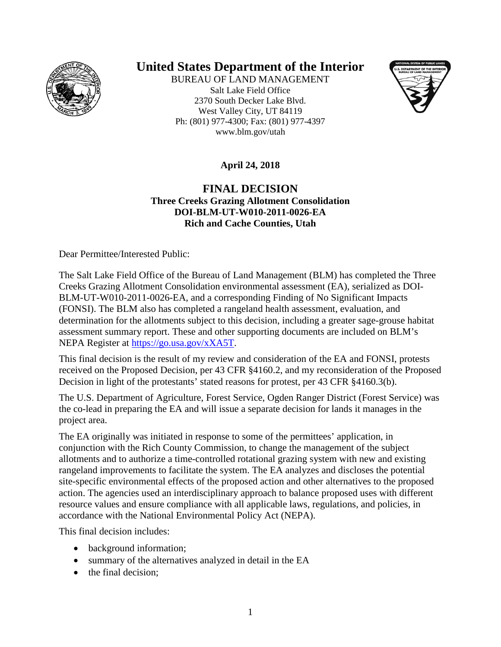

# **United States Department of the Interior**

BUREAU OF LAND MANAGEMENT Salt Lake Field Office 2370 South Decker Lake Blvd. West Valley City, UT 84119 Ph: (801) 977-4300; Fax: (801) 977-4397 www.blm.gov/utah



**April 24, 2018**

### **FINAL DECISION Three Creeks Grazing Allotment Consolidation DOI-BLM-UT-W010-2011-0026-EA Rich and Cache Counties, Utah**

Dear Permittee/Interested Public:

The Salt Lake Field Office of the Bureau of Land Management (BLM) has completed the Three Creeks Grazing Allotment Consolidation environmental assessment (EA), serialized as DOI-BLM-UT-W010-2011-0026-EA, and a corresponding Finding of No Significant Impacts (FONSI). The BLM also has completed a rangeland health assessment, evaluation, and determination for the allotments subject to this decision, including a greater sage-grouse habitat assessment summary report. These and other supporting documents are included on BLM's NEPA Register at [https://go.usa.gov/xXA5T.](https://go.usa.gov/xXA5T)

This final decision is the result of my review and consideration of the EA and FONSI, protests received on the Proposed Decision, per 43 CFR §4160.2, and my reconsideration of the Proposed Decision in light of the protestants' stated reasons for protest, per 43 CFR §4160.3(b).

The U.S. Department of Agriculture, Forest Service, Ogden Ranger District (Forest Service) was the co-lead in preparing the EA and will issue a separate decision for lands it manages in the project area.

The EA originally was initiated in response to some of the permittees' application, in conjunction with the Rich County Commission, to change the management of the subject allotments and to authorize a time-controlled rotational grazing system with new and existing rangeland improvements to facilitate the system. The EA analyzes and discloses the potential site-specific environmental effects of the proposed action and other alternatives to the proposed action. The agencies used an interdisciplinary approach to balance proposed uses with different resource values and ensure compliance with all applicable laws, regulations, and policies, in accordance with the National Environmental Policy Act (NEPA).

This final decision includes:

- background information;
- summary of the alternatives analyzed in detail in the EA
- the final decision;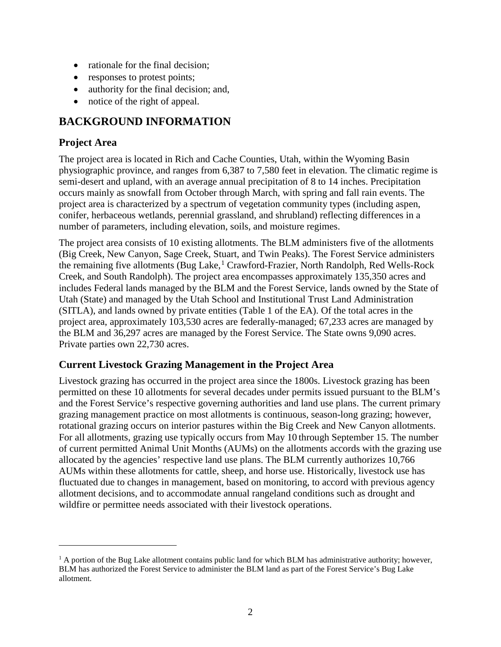- rationale for the final decision;
- responses to protest points;
- authority for the final decision; and,
- notice of the right of appeal.

## **BACKGROUND INFORMATION**

## **Project Area**

 $\overline{a}$ 

The project area is located in Rich and Cache Counties, Utah, within the Wyoming Basin physiographic province, and ranges from 6,387 to 7,580 feet in elevation. The climatic regime is semi-desert and upland, with an average annual precipitation of 8 to 14 inches. Precipitation occurs mainly as snowfall from October through March, with spring and fall rain events. The project area is characterized by a spectrum of vegetation community types (including aspen, conifer, herbaceous wetlands, perennial grassland, and shrubland) reflecting differences in a number of parameters, including elevation, soils, and moisture regimes.

The project area consists of 10 existing allotments. The BLM administers five of the allotments (Big Creek, New Canyon, Sage Creek, Stuart, and Twin Peaks). The Forest Service administers the remaining five allotments (Bug Lake,<sup>[1](#page-1-0)</sup> Crawford-Frazier, North Randolph, Red Wells-Rock Creek, and South Randolph). The project area encompasses approximately 135,350 acres and includes Federal lands managed by the BLM and the Forest Service, lands owned by the State of Utah (State) and managed by the Utah School and Institutional Trust Land Administration (SITLA), and lands owned by private entities (Table 1 of the EA). Of the total acres in the project area, approximately 103,530 acres are federally-managed; 67,233 acres are managed by the BLM and 36,297 acres are managed by the Forest Service. The State owns 9,090 acres. Private parties own 22,730 acres.

### **Current Livestock Grazing Management in the Project Area**

Livestock grazing has occurred in the project area since the 1800s. Livestock grazing has been permitted on these 10 allotments for several decades under permits issued pursuant to the BLM's and the Forest Service's respective governing authorities and land use plans. The current primary grazing management practice on most allotments is continuous, season-long grazing; however, rotational grazing occurs on interior pastures within the Big Creek and New Canyon allotments. For all allotments, grazing use typically occurs from May 10 through September 15. The number of current permitted Animal Unit Months (AUMs) on the allotments accords with the grazing use allocated by the agencies' respective land use plans. The BLM currently authorizes 10,766 AUMs within these allotments for cattle, sheep, and horse use. Historically, livestock use has fluctuated due to changes in management, based on monitoring, to accord with previous agency allotment decisions, and to accommodate annual rangeland conditions such as drought and wildfire or permittee needs associated with their livestock operations.

<span id="page-1-0"></span> $<sup>1</sup>$  A portion of the Bug Lake allotment contains public land for which BLM has administrative authority; however,</sup> BLM has authorized the Forest Service to administer the BLM land as part of the Forest Service's Bug Lake allotment.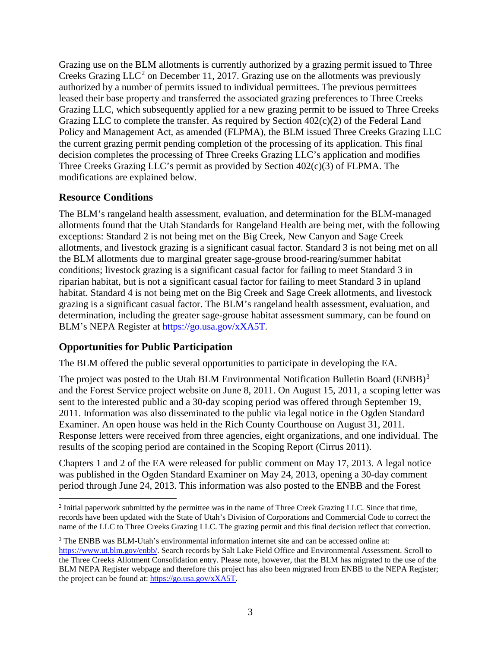Grazing use on the BLM allotments is currently authorized by a grazing permit issued to Three Creeks Grazing  $LLC<sup>2</sup>$  $LLC<sup>2</sup>$  $LLC<sup>2</sup>$  on December 11, 2017. Grazing use on the allotments was previously authorized by a number of permits issued to individual permittees. The previous permittees leased their base property and transferred the associated grazing preferences to Three Creeks Grazing LLC, which subsequently applied for a new grazing permit to be issued to Three Creeks Grazing LLC to complete the transfer. As required by Section 402(c)(2) of the Federal Land Policy and Management Act, as amended (FLPMA), the BLM issued Three Creeks Grazing LLC the current grazing permit pending completion of the processing of its application. This final decision completes the processing of Three Creeks Grazing LLC's application and modifies Three Creeks Grazing LLC's permit as provided by Section 402(c)(3) of FLPMA. The modifications are explained below.

### **Resource Conditions**

The BLM's rangeland health assessment, evaluation, and determination for the BLM-managed allotments found that the Utah Standards for Rangeland Health are being met, with the following exceptions: Standard 2 is not being met on the Big Creek, New Canyon and Sage Creek allotments, and livestock grazing is a significant casual factor. Standard 3 is not being met on all the BLM allotments due to marginal greater sage-grouse brood-rearing/summer habitat conditions; livestock grazing is a significant casual factor for failing to meet Standard 3 in riparian habitat, but is not a significant casual factor for failing to meet Standard 3 in upland habitat. Standard 4 is not being met on the Big Creek and Sage Creek allotments, and livestock grazing is a significant casual factor. The BLM's rangeland health assessment, evaluation, and determination, including the greater sage-grouse habitat assessment summary, can be found on BLM's NEPA Register at [https://go.usa.gov/xXA5T.](https://go.usa.gov/xXA5T)

## **Opportunities for Public Participation**

The BLM offered the public several opportunities to participate in developing the EA.

The project was posted to the Utah BLM Environmental Notification Bulletin Board (ENBB)<sup>[3](#page-2-1)</sup> and the Forest Service project website on June 8, 2011. On August 15, 2011, a scoping letter was sent to the interested public and a 30-day scoping period was offered through September 19, 2011. Information was also disseminated to the public via legal notice in the Ogden Standard Examiner. An open house was held in the Rich County Courthouse on August 31, 2011. Response letters were received from three agencies, eight organizations, and one individual. The results of the scoping period are contained in the Scoping Report (Cirrus 2011).

Chapters 1 and 2 of the EA were released for public comment on May 17, 2013. A legal notice was published in the Ogden Standard Examiner on May 24, 2013, opening a 30-day comment period through June 24, 2013. This information was also posted to the ENBB and the Forest

<span id="page-2-0"></span> <sup>2</sup> Initial paperwork submitted by the permittee was in the name of Three Creek Grazing LLC. Since that time, records have been updated with the State of Utah's Division of Corporations and Commercial Code to correct the name of the LLC to Three Creeks Grazing LLC. The grazing permit and this final decision reflect that correction.

<span id="page-2-1"></span><sup>3</sup> The ENBB was BLM-Utah's environmental information internet site and can be accessed online at: [https://www.ut.blm.gov/enbb/.](https://www.ut.blm.gov/enbb/) Search records by Salt Lake Field Office and Environmental Assessment. Scroll to the Three Creeks Allotment Consolidation entry. Please note, however, that the BLM has migrated to the use of the BLM NEPA Register webpage and therefore this project has also been migrated from ENBB to the NEPA Register; the project can be found at[: https://go.usa.gov/xXA5T.](https://go.usa.gov/xXA5T)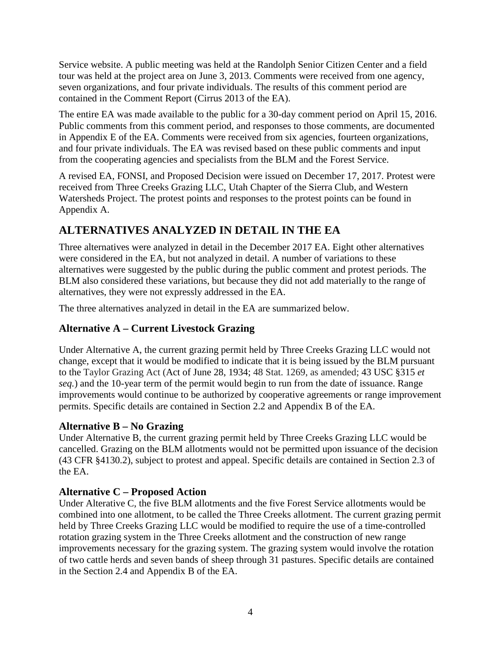Service website. A public meeting was held at the Randolph Senior Citizen Center and a field tour was held at the project area on June 3, 2013. Comments were received from one agency, seven organizations, and four private individuals. The results of this comment period are contained in the Comment Report (Cirrus 2013 of the EA).

The entire EA was made available to the public for a 30-day comment period on April 15, 2016. Public comments from this comment period, and responses to those comments, are documented in Appendix E of the EA. Comments were received from six agencies, fourteen organizations, and four private individuals. The EA was revised based on these public comments and input from the cooperating agencies and specialists from the BLM and the Forest Service.

A revised EA, FONSI, and Proposed Decision were issued on December 17, 2017. Protest were received from Three Creeks Grazing LLC, Utah Chapter of the Sierra Club, and Western Watersheds Project. The protest points and responses to the protest points can be found in Appendix A.

# **ALTERNATIVES ANALYZED IN DETAIL IN THE EA**

Three alternatives were analyzed in detail in the December 2017 EA. Eight other alternatives were considered in the EA, but not analyzed in detail. A number of variations to these alternatives were suggested by the public during the public comment and protest periods. The BLM also considered these variations, but because they did not add materially to the range of alternatives, they were not expressly addressed in the EA.

The three alternatives analyzed in detail in the EA are summarized below.

## **Alternative A – Current Livestock Grazing**

Under Alternative A, the current grazing permit held by Three Creeks Grazing LLC would not change, except that it would be modified to indicate that it is being issued by the BLM pursuant to the Taylor Grazing Act (Act of June 28, 1934; 48 Stat. 1269, as amended; 43 USC §315 *et seq.*) and the 10-year term of the permit would begin to run from the date of issuance. Range improvements would continue to be authorized by cooperative agreements or range improvement permits. Specific details are contained in Section 2.2 and Appendix B of the EA.

### **Alternative B – No Grazing**

Under Alternative B, the current grazing permit held by Three Creeks Grazing LLC would be cancelled. Grazing on the BLM allotments would not be permitted upon issuance of the decision (43 CFR §4130.2), subject to protest and appeal. Specific details are contained in Section 2.3 of the EA.

## **Alternative C – Proposed Action**

Under Alterative C, the five BLM allotments and the five Forest Service allotments would be combined into one allotment, to be called the Three Creeks allotment. The current grazing permit held by Three Creeks Grazing LLC would be modified to require the use of a time-controlled rotation grazing system in the Three Creeks allotment and the construction of new range improvements necessary for the grazing system. The grazing system would involve the rotation of two cattle herds and seven bands of sheep through 31 pastures. Specific details are contained in the Section 2.4 and Appendix B of the EA.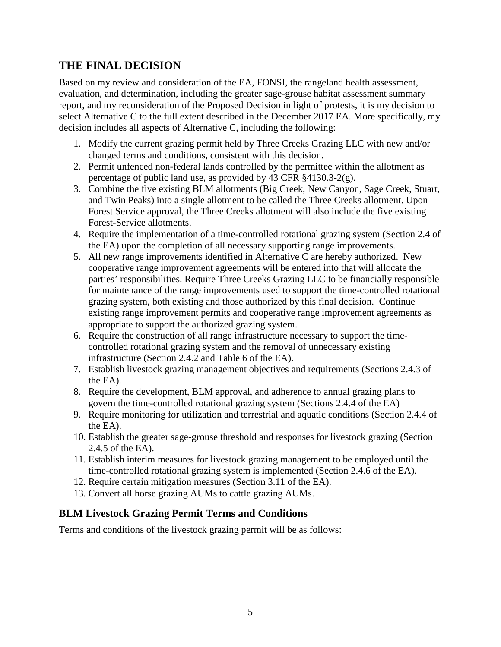## **THE FINAL DECISION**

Based on my review and consideration of the EA, FONSI, the rangeland health assessment, evaluation, and determination, including the greater sage-grouse habitat assessment summary report, and my reconsideration of the Proposed Decision in light of protests, it is my decision to select Alternative C to the full extent described in the December 2017 EA. More specifically, my decision includes all aspects of Alternative C, including the following:

- 1. Modify the current grazing permit held by Three Creeks Grazing LLC with new and/or changed terms and conditions, consistent with this decision.
- 2. Permit unfenced non-federal lands controlled by the permittee within the allotment as percentage of public land use, as provided by 43 CFR §4130.3-2(g).
- 3. Combine the five existing BLM allotments (Big Creek, New Canyon, Sage Creek, Stuart, and Twin Peaks) into a single allotment to be called the Three Creeks allotment. Upon Forest Service approval, the Three Creeks allotment will also include the five existing Forest-Service allotments.
- 4. Require the implementation of a time-controlled rotational grazing system (Section 2.4 of the EA) upon the completion of all necessary supporting range improvements.
- 5. All new range improvements identified in Alternative C are hereby authorized. New cooperative range improvement agreements will be entered into that will allocate the parties' responsibilities. Require Three Creeks Grazing LLC to be financially responsible for maintenance of the range improvements used to support the time-controlled rotational grazing system, both existing and those authorized by this final decision. Continue existing range improvement permits and cooperative range improvement agreements as appropriate to support the authorized grazing system.
- 6. Require the construction of all range infrastructure necessary to support the timecontrolled rotational grazing system and the removal of unnecessary existing infrastructure (Section 2.4.2 and Table 6 of the EA).
- 7. Establish livestock grazing management objectives and requirements (Sections 2.4.3 of the EA).
- 8. Require the development, BLM approval, and adherence to annual grazing plans to govern the time-controlled rotational grazing system (Sections 2.4.4 of the EA)
- 9. Require monitoring for utilization and terrestrial and aquatic conditions (Section 2.4.4 of the EA).
- 10. Establish the greater sage-grouse threshold and responses for livestock grazing (Section 2.4.5 of the EA).
- 11. Establish interim measures for livestock grazing management to be employed until the time-controlled rotational grazing system is implemented (Section 2.4.6 of the EA).
- 12. Require certain mitigation measures (Section 3.11 of the EA).
- 13. Convert all horse grazing AUMs to cattle grazing AUMs.

### **BLM Livestock Grazing Permit Terms and Conditions**

Terms and conditions of the livestock grazing permit will be as follows: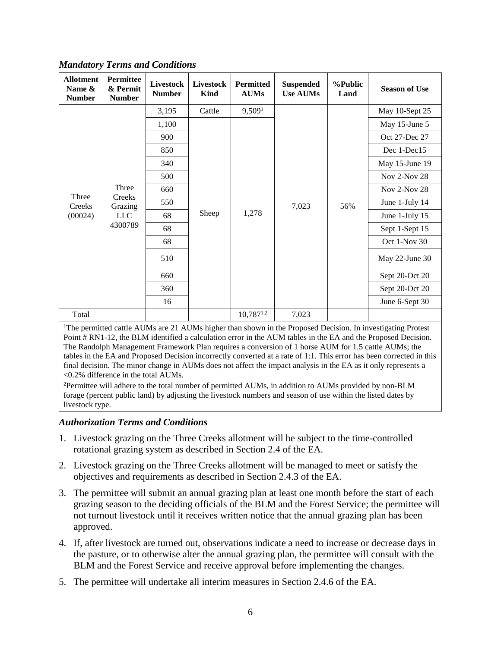| <b>Allotment</b><br>Name &<br><b>Number</b>                                                                                                                                                                                                                                                                                                      | <b>Permittee</b><br>& Permit<br><b>Number</b>       | <b>Livestock</b><br><b>Number</b> | <b>Livestock</b><br>Kind | <b>Permitted</b><br><b>AUMs</b> | <b>Suspended</b><br><b>Use AUMs</b> | %Public<br>Land | <b>Season of Use</b> |
|--------------------------------------------------------------------------------------------------------------------------------------------------------------------------------------------------------------------------------------------------------------------------------------------------------------------------------------------------|-----------------------------------------------------|-----------------------------------|--------------------------|---------------------------------|-------------------------------------|-----------------|----------------------|
|                                                                                                                                                                                                                                                                                                                                                  |                                                     | 3,195                             | Cattle                   | 9,509 <sup>1</sup>              |                                     |                 | May 10-Sept 25       |
|                                                                                                                                                                                                                                                                                                                                                  |                                                     | 1,100                             | Sheep                    | 1,278                           | 7,023                               |                 | May 15-June 5        |
|                                                                                                                                                                                                                                                                                                                                                  |                                                     | 900                               |                          |                                 |                                     |                 | Oct 27-Dec 27        |
|                                                                                                                                                                                                                                                                                                                                                  |                                                     | 850                               |                          |                                 |                                     |                 | Dec 1-Dec15          |
|                                                                                                                                                                                                                                                                                                                                                  |                                                     | 340                               |                          |                                 |                                     | 56%             | May 15-June 19       |
|                                                                                                                                                                                                                                                                                                                                                  | Three<br>Creeks<br>Grazing<br><b>LLC</b><br>4300789 | 500                               |                          |                                 |                                     |                 | Nov 2-Nov 28         |
| Three<br>Creeks                                                                                                                                                                                                                                                                                                                                  |                                                     | 660                               |                          |                                 |                                     |                 | Nov 2-Nov 28         |
|                                                                                                                                                                                                                                                                                                                                                  |                                                     | 550                               |                          |                                 |                                     |                 | June 1-July 14       |
| (00024)                                                                                                                                                                                                                                                                                                                                          |                                                     | 68                                |                          |                                 |                                     |                 | June 1-July 15       |
|                                                                                                                                                                                                                                                                                                                                                  |                                                     | 68                                |                          |                                 |                                     |                 | Sept 1-Sept 15       |
|                                                                                                                                                                                                                                                                                                                                                  |                                                     | 68                                |                          |                                 |                                     |                 | Oct 1-Nov 30         |
|                                                                                                                                                                                                                                                                                                                                                  |                                                     | 510                               |                          |                                 |                                     |                 | May 22-June 30       |
|                                                                                                                                                                                                                                                                                                                                                  |                                                     | 660                               |                          |                                 |                                     |                 | Sept 20-Oct 20       |
|                                                                                                                                                                                                                                                                                                                                                  |                                                     | 360                               |                          |                                 |                                     |                 | Sept 20-Oct 20       |
|                                                                                                                                                                                                                                                                                                                                                  |                                                     | 16                                |                          |                                 |                                     |                 | June 6-Sept 30       |
| Total                                                                                                                                                                                                                                                                                                                                            | $10,787^{1,2}$<br>7,023                             |                                   |                          |                                 |                                     |                 |                      |
| <sup>1</sup> The permitted cattle AUMs are 21 AUMs higher than shown in the Proposed Decision. In investigating Protest<br>Point # RN1-12, the BLM identified a calculation error in the AUM tables in the EA and the Proposed Decision.<br>The Randolph Management Framework Plan requires a conversion of 1 horse AUM for 1.5 cattle AUMs; the |                                                     |                                   |                          |                                 |                                     |                 |                      |

*Mandatory Terms and Conditions*

tables in the EA and Proposed Decision incorrectly converted at a rate of 1:1. This error has been corrected in this final decision. The minor change in AUMs does not affect the impact analysis in the EA as it only represents a <0.2% difference in the total AUMs.

<sup>2</sup>Permittee will adhere to the total number of permitted AUMs, in addition to AUMs provided by non-BLM forage (percent public land) by adjusting the livestock numbers and season of use within the listed dates by livestock type.

#### *Authorization Terms and Conditions*

- 1. Livestock grazing on the Three Creeks allotment will be subject to the time-controlled rotational grazing system as described in Section 2.4 of the EA.
- 2. Livestock grazing on the Three Creeks allotment will be managed to meet or satisfy the objectives and requirements as described in Section 2.4.3 of the EA.
- 3. The permittee will submit an annual grazing plan at least one month before the start of each grazing season to the deciding officials of the BLM and the Forest Service; the permittee will not turnout livestock until it receives written notice that the annual grazing plan has been approved.
- 4. If, after livestock are turned out, observations indicate a need to increase or decrease days in the pasture, or to otherwise alter the annual grazing plan, the permittee will consult with the BLM and the Forest Service and receive approval before implementing the changes.
- 5. The permittee will undertake all interim measures in Section 2.4.6 of the EA.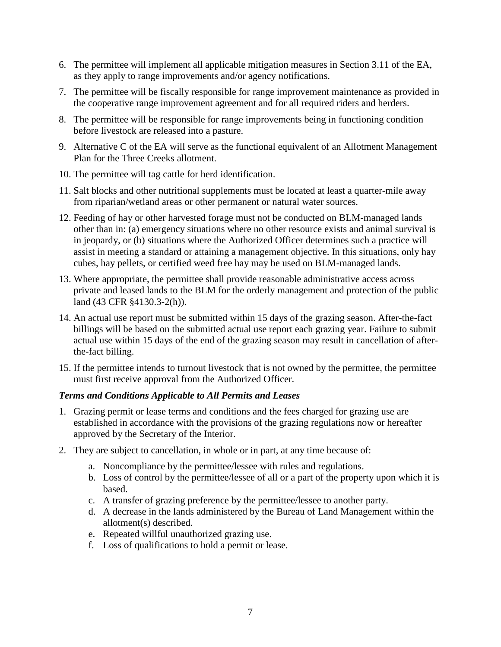- 6. The permittee will implement all applicable mitigation measures in Section 3.11 of the EA, as they apply to range improvements and/or agency notifications.
- 7. The permittee will be fiscally responsible for range improvement maintenance as provided in the cooperative range improvement agreement and for all required riders and herders.
- 8. The permittee will be responsible for range improvements being in functioning condition before livestock are released into a pasture.
- 9. Alternative C of the EA will serve as the functional equivalent of an Allotment Management Plan for the Three Creeks allotment.
- 10. The permittee will tag cattle for herd identification.
- 11. Salt blocks and other nutritional supplements must be located at least a quarter-mile away from riparian/wetland areas or other permanent or natural water sources.
- 12. Feeding of hay or other harvested forage must not be conducted on BLM-managed lands other than in: (a) emergency situations where no other resource exists and animal survival is in jeopardy, or (b) situations where the Authorized Officer determines such a practice will assist in meeting a standard or attaining a management objective. In this situations, only hay cubes, hay pellets, or certified weed free hay may be used on BLM-managed lands.
- 13. Where appropriate, the permittee shall provide reasonable administrative access across private and leased lands to the BLM for the orderly management and protection of the public land (43 CFR §4130.3-2(h)).
- 14. An actual use report must be submitted within 15 days of the grazing season. After-the-fact billings will be based on the submitted actual use report each grazing year. Failure to submit actual use within 15 days of the end of the grazing season may result in cancellation of afterthe-fact billing.
- 15. If the permittee intends to turnout livestock that is not owned by the permittee, the permittee must first receive approval from the Authorized Officer.

### *Terms and Conditions Applicable to All Permits and Leases*

- 1. Grazing permit or lease terms and conditions and the fees charged for grazing use are established in accordance with the provisions of the grazing regulations now or hereafter approved by the Secretary of the Interior.
- 2. They are subject to cancellation, in whole or in part, at any time because of:
	- a. Noncompliance by the permittee/lessee with rules and regulations.
	- b. Loss of control by the permittee/lessee of all or a part of the property upon which it is based.
	- c. A transfer of grazing preference by the permittee/lessee to another party.
	- d. A decrease in the lands administered by the Bureau of Land Management within the allotment(s) described.
	- e. Repeated willful unauthorized grazing use.
	- f. Loss of qualifications to hold a permit or lease.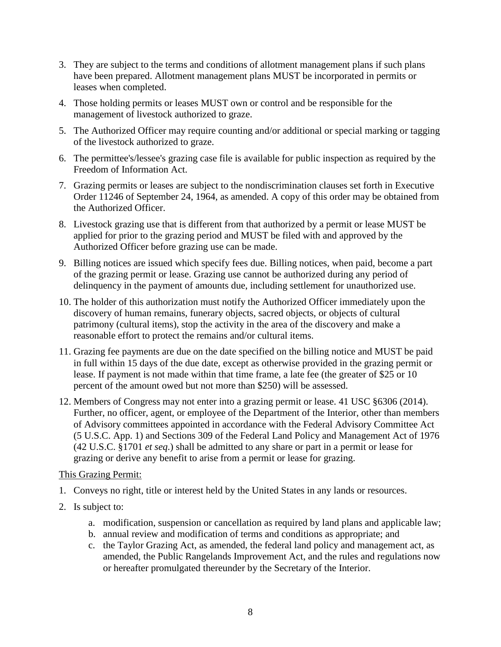- 3. They are subject to the terms and conditions of allotment management plans if such plans have been prepared. Allotment management plans MUST be incorporated in permits or leases when completed.
- 4. Those holding permits or leases MUST own or control and be responsible for the management of livestock authorized to graze.
- 5. The Authorized Officer may require counting and/or additional or special marking or tagging of the livestock authorized to graze.
- 6. The permittee's/lessee's grazing case file is available for public inspection as required by the Freedom of Information Act.
- 7. Grazing permits or leases are subject to the nondiscrimination clauses set forth in Executive Order 11246 of September 24, 1964, as amended. A copy of this order may be obtained from the Authorized Officer.
- 8. Livestock grazing use that is different from that authorized by a permit or lease MUST be applied for prior to the grazing period and MUST be filed with and approved by the Authorized Officer before grazing use can be made.
- 9. Billing notices are issued which specify fees due. Billing notices, when paid, become a part of the grazing permit or lease. Grazing use cannot be authorized during any period of delinquency in the payment of amounts due, including settlement for unauthorized use.
- 10. The holder of this authorization must notify the Authorized Officer immediately upon the discovery of human remains, funerary objects, sacred objects, or objects of cultural patrimony (cultural items), stop the activity in the area of the discovery and make a reasonable effort to protect the remains and/or cultural items.
- 11. Grazing fee payments are due on the date specified on the billing notice and MUST be paid in full within 15 days of the due date, except as otherwise provided in the grazing permit or lease. If payment is not made within that time frame, a late fee (the greater of \$25 or 10 percent of the amount owed but not more than \$250) will be assessed.
- 12. Members of Congress may not enter into a grazing permit or lease. 41 USC §6306 (2014). Further, no officer, agent, or employee of the Department of the Interior, other than members of Advisory committees appointed in accordance with the Federal Advisory Committee Act (5 U.S.C. App. 1) and Sections 309 of the Federal Land Policy and Management Act of 1976 (42 U.S.C. §1701 *et seq*.) shall be admitted to any share or part in a permit or lease for grazing or derive any benefit to arise from a permit or lease for grazing.

### This Grazing Permit:

- 1. Conveys no right, title or interest held by the United States in any lands or resources.
- 2. Is subject to:
	- a. modification, suspension or cancellation as required by land plans and applicable law;
	- b. annual review and modification of terms and conditions as appropriate; and
	- c. the Taylor Grazing Act, as amended, the federal land policy and management act, as amended, the Public Rangelands Improvement Act, and the rules and regulations now or hereafter promulgated thereunder by the Secretary of the Interior.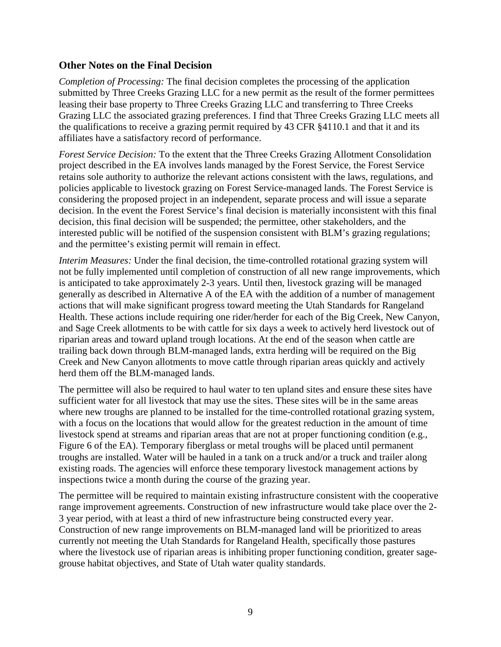### **Other Notes on the Final Decision**

*Completion of Processing:* The final decision completes the processing of the application submitted by Three Creeks Grazing LLC for a new permit as the result of the former permittees leasing their base property to Three Creeks Grazing LLC and transferring to Three Creeks Grazing LLC the associated grazing preferences. I find that Three Creeks Grazing LLC meets all the qualifications to receive a grazing permit required by 43 CFR §4110.1 and that it and its affiliates have a satisfactory record of performance.

*Forest Service Decision:* To the extent that the Three Creeks Grazing Allotment Consolidation project described in the EA involves lands managed by the Forest Service, the Forest Service retains sole authority to authorize the relevant actions consistent with the laws, regulations, and policies applicable to livestock grazing on Forest Service-managed lands. The Forest Service is considering the proposed project in an independent, separate process and will issue a separate decision. In the event the Forest Service's final decision is materially inconsistent with this final decision, this final decision will be suspended; the permittee, other stakeholders, and the interested public will be notified of the suspension consistent with BLM's grazing regulations; and the permittee's existing permit will remain in effect.

*Interim Measures:* Under the final decision, the time-controlled rotational grazing system will not be fully implemented until completion of construction of all new range improvements, which is anticipated to take approximately 2-3 years. Until then, livestock grazing will be managed generally as described in Alternative A of the EA with the addition of a number of management actions that will make significant progress toward meeting the Utah Standards for Rangeland Health. These actions include requiring one rider/herder for each of the Big Creek, New Canyon, and Sage Creek allotments to be with cattle for six days a week to actively herd livestock out of riparian areas and toward upland trough locations. At the end of the season when cattle are trailing back down through BLM-managed lands, extra herding will be required on the Big Creek and New Canyon allotments to move cattle through riparian areas quickly and actively herd them off the BLM-managed lands.

The permittee will also be required to haul water to ten upland sites and ensure these sites have sufficient water for all livestock that may use the sites. These sites will be in the same areas where new troughs are planned to be installed for the time-controlled rotational grazing system, with a focus on the locations that would allow for the greatest reduction in the amount of time livestock spend at streams and riparian areas that are not at proper functioning condition (e.g., Figure 6 of the EA). Temporary fiberglass or metal troughs will be placed until permanent troughs are installed. Water will be hauled in a tank on a truck and/or a truck and trailer along existing roads. The agencies will enforce these temporary livestock management actions by inspections twice a month during the course of the grazing year.

The permittee will be required to maintain existing infrastructure consistent with the cooperative range improvement agreements. Construction of new infrastructure would take place over the 2- 3 year period, with at least a third of new infrastructure being constructed every year. Construction of new range improvements on BLM-managed land will be prioritized to areas currently not meeting the Utah Standards for Rangeland Health, specifically those pastures where the livestock use of riparian areas is inhibiting proper functioning condition, greater sagegrouse habitat objectives, and State of Utah water quality standards.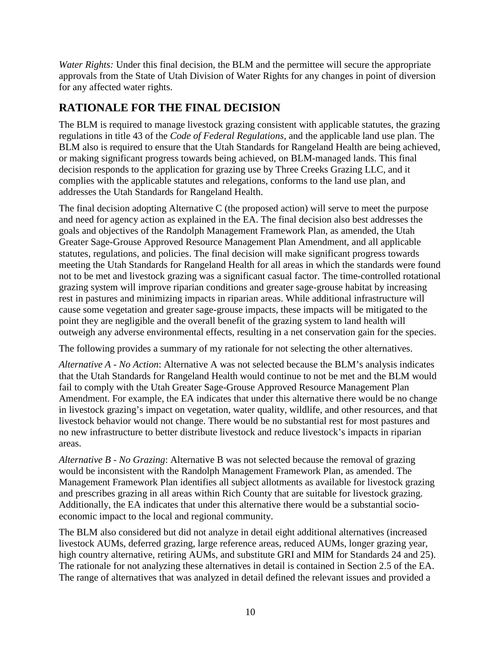*Water Rights:* Under this final decision, the BLM and the permittee will secure the appropriate approvals from the State of Utah Division of Water Rights for any changes in point of diversion for any affected water rights.

# **RATIONALE FOR THE FINAL DECISION**

The BLM is required to manage livestock grazing consistent with applicable statutes, the grazing regulations in title 43 of the *Code of Federal Regulations*, and the applicable land use plan. The BLM also is required to ensure that the Utah Standards for Rangeland Health are being achieved, or making significant progress towards being achieved, on BLM-managed lands. This final decision responds to the application for grazing use by Three Creeks Grazing LLC, and it complies with the applicable statutes and relegations, conforms to the land use plan, and addresses the Utah Standards for Rangeland Health.

The final decision adopting Alternative C (the proposed action) will serve to meet the purpose and need for agency action as explained in the EA. The final decision also best addresses the goals and objectives of the Randolph Management Framework Plan, as amended, the Utah Greater Sage-Grouse Approved Resource Management Plan Amendment, and all applicable statutes, regulations, and policies. The final decision will make significant progress towards meeting the Utah Standards for Rangeland Health for all areas in which the standards were found not to be met and livestock grazing was a significant casual factor. The time-controlled rotational grazing system will improve riparian conditions and greater sage-grouse habitat by increasing rest in pastures and minimizing impacts in riparian areas. While additional infrastructure will cause some vegetation and greater sage-grouse impacts, these impacts will be mitigated to the point they are negligible and the overall benefit of the grazing system to land health will outweigh any adverse environmental effects, resulting in a net conservation gain for the species.

The following provides a summary of my rationale for not selecting the other alternatives.

*Alternative A - No Action*: Alternative A was not selected because the BLM's analysis indicates that the Utah Standards for Rangeland Health would continue to not be met and the BLM would fail to comply with the Utah Greater Sage-Grouse Approved Resource Management Plan Amendment. For example, the EA indicates that under this alternative there would be no change in livestock grazing's impact on vegetation, water quality, wildlife, and other resources, and that livestock behavior would not change. There would be no substantial rest for most pastures and no new infrastructure to better distribute livestock and reduce livestock's impacts in riparian areas.

*Alternative B - No Grazing*: Alternative B was not selected because the removal of grazing would be inconsistent with the Randolph Management Framework Plan, as amended. The Management Framework Plan identifies all subject allotments as available for livestock grazing and prescribes grazing in all areas within Rich County that are suitable for livestock grazing. Additionally, the EA indicates that under this alternative there would be a substantial socioeconomic impact to the local and regional community.

The BLM also considered but did not analyze in detail eight additional alternatives (increased livestock AUMs, deferred grazing, large reference areas, reduced AUMs, longer grazing year, high country alternative, retiring AUMs, and substitute GRI and MIM for Standards 24 and 25). The rationale for not analyzing these alternatives in detail is contained in Section 2.5 of the EA. The range of alternatives that was analyzed in detail defined the relevant issues and provided a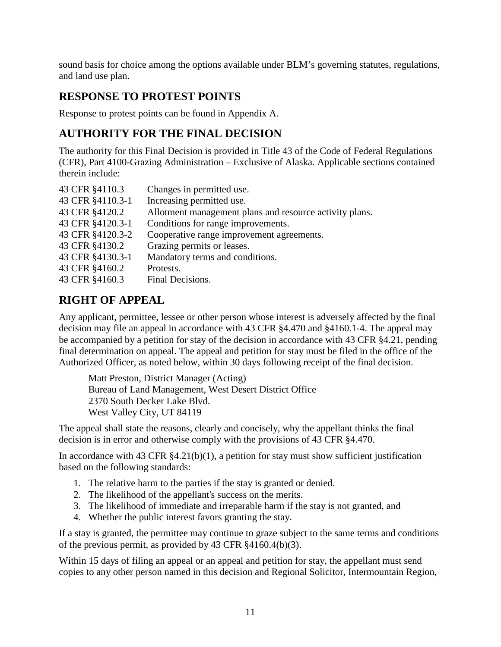sound basis for choice among the options available under BLM's governing statutes, regulations, and land use plan.

# **RESPONSE TO PROTEST POINTS**

Response to protest points can be found in Appendix A.

# **AUTHORITY FOR THE FINAL DECISION**

The authority for this Final Decision is provided in Title 43 of the Code of Federal Regulations (CFR), Part 4100-Grazing Administration – Exclusive of Alaska. Applicable sections contained therein include:

| 43 CFR §4110.3   | Changes in permitted use.                               |
|------------------|---------------------------------------------------------|
| 43 CFR §4110.3-1 | Increasing permitted use.                               |
| 43 CFR §4120.2   | Allotment management plans and resource activity plans. |
| 43 CFR §4120.3-1 | Conditions for range improvements.                      |
| 43 CFR §4120.3-2 | Cooperative range improvement agreements.               |
| 43 CFR §4130.2   | Grazing permits or leases.                              |
| 43 CFR §4130.3-1 | Mandatory terms and conditions.                         |
| 43 CFR §4160.2   | Protests.                                               |
| 43 CFR §4160.3   | Final Decisions.                                        |

# **RIGHT OF APPEAL**

Any applicant, permittee, lessee or other person whose interest is adversely affected by the final decision may file an appeal in accordance with 43 CFR §4.470 and §4160.1-4. The appeal may be accompanied by a petition for stay of the decision in accordance with 43 CFR §4.21, pending final determination on appeal. The appeal and petition for stay must be filed in the office of the Authorized Officer, as noted below, within 30 days following receipt of the final decision.

Matt Preston, District Manager (Acting) Bureau of Land Management, West Desert District Office 2370 South Decker Lake Blvd. West Valley City, UT 84119

The appeal shall state the reasons, clearly and concisely, why the appellant thinks the final decision is in error and otherwise comply with the provisions of 43 CFR §4.470.

In accordance with 43 CFR  $§4.21(b)(1)$ , a petition for stay must show sufficient justification based on the following standards:

- 1. The relative harm to the parties if the stay is granted or denied.
- 2. The likelihood of the appellant's success on the merits.
- 3. The likelihood of immediate and irreparable harm if the stay is not granted, and
- 4. Whether the public interest favors granting the stay.

If a stay is granted, the permittee may continue to graze subject to the same terms and conditions of the previous permit, as provided by 43 CFR §4160.4(b)(3).

Within 15 days of filing an appeal or an appeal and petition for stay, the appellant must send copies to any other person named in this decision and Regional Solicitor, Intermountain Region,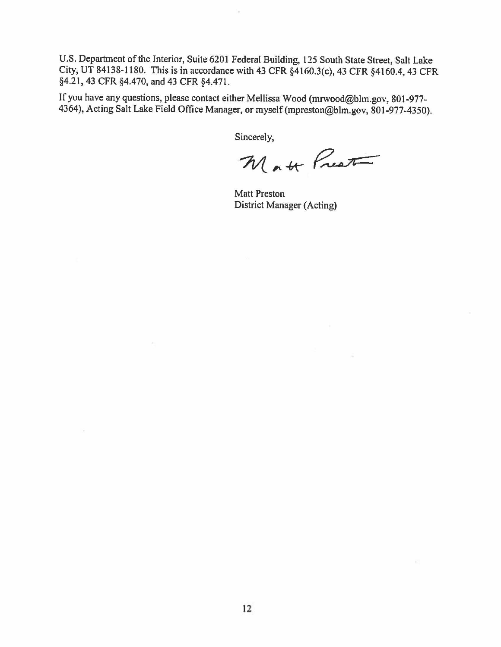U.S. Department of the Interior, Suite 6201 Federal Building, 125 South State Street, Salt Lake City, UT 84138-1180. This is in accordance with 43 CFR §4160.3(c), 43 CFR §4160.4, 43 CFR §4.21, 43 CFR §4.470, and 43 CFR §4.471.

If you have any questions, please contact either Mellissa Wood (mrwood@blm.gov, 801-977- 4364), Acting Salt Lake Field Office Manager, or myself (mpreston@blm.gov, 801-977-4350).

Sincerely,

Matt Prest

Matt Preston District Manager (Acting)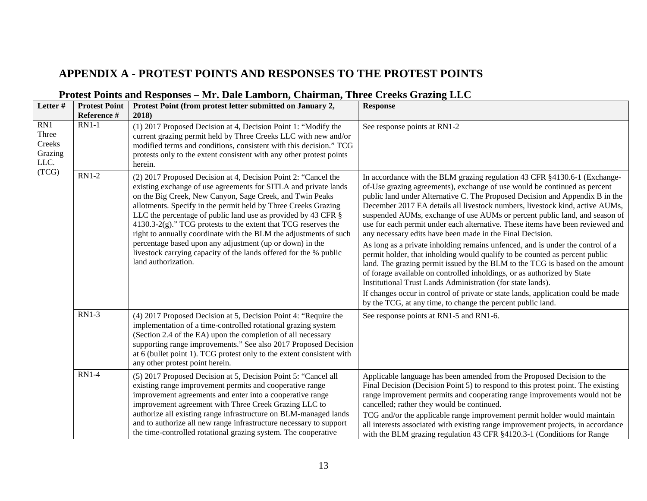# **APPENDIX A - PROTEST POINTS AND RESPONSES TO THE PROTEST POINTS**

| Letter #                                  | <b>Protest Point</b><br>Reference # | Protest Point (from protest letter submitted on January 2,<br>2018)                                                                                                                                                                                                                                                                                                                                                                                                                                                                                                                                                                | <b>Response</b>                                                                                                                                                                                                                                                                                                                                                                                                                                                                                                                                                                                                                                                                                                                                                                                                                                                                                                                                                                                                                                                                                   |
|-------------------------------------------|-------------------------------------|------------------------------------------------------------------------------------------------------------------------------------------------------------------------------------------------------------------------------------------------------------------------------------------------------------------------------------------------------------------------------------------------------------------------------------------------------------------------------------------------------------------------------------------------------------------------------------------------------------------------------------|---------------------------------------------------------------------------------------------------------------------------------------------------------------------------------------------------------------------------------------------------------------------------------------------------------------------------------------------------------------------------------------------------------------------------------------------------------------------------------------------------------------------------------------------------------------------------------------------------------------------------------------------------------------------------------------------------------------------------------------------------------------------------------------------------------------------------------------------------------------------------------------------------------------------------------------------------------------------------------------------------------------------------------------------------------------------------------------------------|
| RN1<br>Three<br>Creeks<br>Grazing<br>LLC. | $RN1-1$                             | (1) 2017 Proposed Decision at 4, Decision Point 1: "Modify the<br>current grazing permit held by Three Creeks LLC with new and/or<br>modified terms and conditions, consistent with this decision." TCG<br>protests only to the extent consistent with any other protest points<br>herein.                                                                                                                                                                                                                                                                                                                                         | See response points at RN1-2                                                                                                                                                                                                                                                                                                                                                                                                                                                                                                                                                                                                                                                                                                                                                                                                                                                                                                                                                                                                                                                                      |
| (TCG)                                     | <b>RN1-2</b>                        | (2) 2017 Proposed Decision at 4, Decision Point 2: "Cancel the<br>existing exchange of use agreements for SITLA and private lands<br>on the Big Creek, New Canyon, Sage Creek, and Twin Peaks<br>allotments. Specify in the permit held by Three Creeks Grazing<br>LLC the percentage of public land use as provided by 43 CFR §<br>$4130.3-2(g)$ ." TCG protests to the extent that TCG reserves the<br>right to annually coordinate with the BLM the adjustments of such<br>percentage based upon any adjustment (up or down) in the<br>livestock carrying capacity of the lands offered for the % public<br>land authorization. | In accordance with the BLM grazing regulation 43 CFR §4130.6-1 (Exchange-<br>of-Use grazing agreements), exchange of use would be continued as percent<br>public land under Alternative C. The Proposed Decision and Appendix B in the<br>December 2017 EA details all livestock numbers, livestock kind, active AUMs,<br>suspended AUMs, exchange of use AUMs or percent public land, and season of<br>use for each permit under each alternative. These items have been reviewed and<br>any necessary edits have been made in the Final Decision.<br>As long as a private inholding remains unfenced, and is under the control of a<br>permit holder, that inholding would qualify to be counted as percent public<br>land. The grazing permit issued by the BLM to the TCG is based on the amount<br>of forage available on controlled inholdings, or as authorized by State<br>Institutional Trust Lands Administration (for state lands).<br>If changes occur in control of private or state lands, application could be made<br>by the TCG, at any time, to change the percent public land. |
|                                           | <b>RN1-3</b>                        | (4) 2017 Proposed Decision at 5, Decision Point 4: "Require the<br>implementation of a time-controlled rotational grazing system<br>(Section 2.4 of the EA) upon the completion of all necessary<br>supporting range improvements." See also 2017 Proposed Decision<br>at 6 (bullet point 1). TCG protest only to the extent consistent with<br>any other protest point herein.                                                                                                                                                                                                                                                    | See response points at RN1-5 and RN1-6.                                                                                                                                                                                                                                                                                                                                                                                                                                                                                                                                                                                                                                                                                                                                                                                                                                                                                                                                                                                                                                                           |
|                                           | <b>RN1-4</b>                        | (5) 2017 Proposed Decision at 5, Decision Point 5: "Cancel all<br>existing range improvement permits and cooperative range<br>improvement agreements and enter into a cooperative range<br>improvement agreement with Three Creek Grazing LLC to<br>authorize all existing range infrastructure on BLM-managed lands<br>and to authorize all new range infrastructure necessary to support<br>the time-controlled rotational grazing system. The cooperative                                                                                                                                                                       | Applicable language has been amended from the Proposed Decision to the<br>Final Decision (Decision Point 5) to respond to this protest point. The existing<br>range improvement permits and cooperating range improvements would not be<br>cancelled; rather they would be continued.<br>TCG and/or the applicable range improvement permit holder would maintain<br>all interests associated with existing range improvement projects, in accordance<br>with the BLM grazing regulation 43 CFR §4120.3-1 (Conditions for Range                                                                                                                                                                                                                                                                                                                                                                                                                                                                                                                                                                   |

## **Protest Points and Responses – Mr. Dale Lamborn, Chairman, Three Creeks Grazing LLC**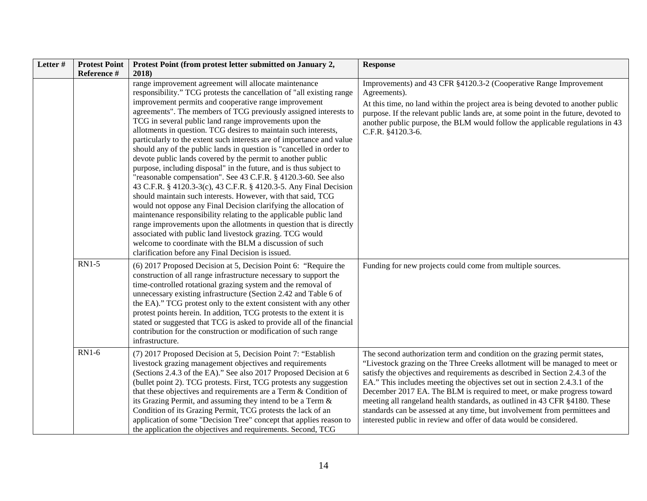| Letter# | <b>Protest Point</b><br>Reference # | Protest Point (from protest letter submitted on January 2,<br>2018)                                                                                                                                                                                                                                                                                                                                                                                                                                                                                                                                                                                                                                                                                                                                                                                                                                                                                                                                                                                                                                                                                                                                                                                                                | <b>Response</b>                                                                                                                                                                                                                                                                                                                                                                                                                                                                                                                                                                                                                     |
|---------|-------------------------------------|------------------------------------------------------------------------------------------------------------------------------------------------------------------------------------------------------------------------------------------------------------------------------------------------------------------------------------------------------------------------------------------------------------------------------------------------------------------------------------------------------------------------------------------------------------------------------------------------------------------------------------------------------------------------------------------------------------------------------------------------------------------------------------------------------------------------------------------------------------------------------------------------------------------------------------------------------------------------------------------------------------------------------------------------------------------------------------------------------------------------------------------------------------------------------------------------------------------------------------------------------------------------------------|-------------------------------------------------------------------------------------------------------------------------------------------------------------------------------------------------------------------------------------------------------------------------------------------------------------------------------------------------------------------------------------------------------------------------------------------------------------------------------------------------------------------------------------------------------------------------------------------------------------------------------------|
|         |                                     | range improvement agreement will allocate maintenance<br>responsibility." TCG protests the cancellation of "all existing range<br>improvement permits and cooperative range improvement<br>agreements". The members of TCG previously assigned interests to<br>TCG in several public land range improvements upon the<br>allotments in question. TCG desires to maintain such interests,<br>particularly to the extent such interests are of importance and value<br>should any of the public lands in question is "cancelled in order to<br>devote public lands covered by the permit to another public<br>purpose, including disposal" in the future, and is thus subject to<br>"reasonable compensation". See 43 C.F.R. § 4120.3-60. See also<br>43 C.F.R. § 4120.3-3(c), 43 C.F.R. § 4120.3-5. Any Final Decision<br>should maintain such interests. However, with that said, TCG<br>would not oppose any Final Decision clarifying the allocation of<br>maintenance responsibility relating to the applicable public land<br>range improvements upon the allotments in question that is directly<br>associated with public land livestock grazing. TCG would<br>welcome to coordinate with the BLM a discussion of such<br>clarification before any Final Decision is issued. | Improvements) and 43 CFR §4120.3-2 (Cooperative Range Improvement<br>Agreements).<br>At this time, no land within the project area is being devoted to another public<br>purpose. If the relevant public lands are, at some point in the future, devoted to<br>another public purpose, the BLM would follow the applicable regulations in 43<br>C.F.R. §4120.3-6.                                                                                                                                                                                                                                                                   |
|         | <b>RN1-5</b>                        | (6) 2017 Proposed Decision at 5, Decision Point 6: "Require the<br>construction of all range infrastructure necessary to support the<br>time-controlled rotational grazing system and the removal of<br>unnecessary existing infrastructure (Section 2.42 and Table 6 of<br>the EA)." TCG protest only to the extent consistent with any other<br>protest points herein. In addition, TCG protests to the extent it is<br>stated or suggested that TCG is asked to provide all of the financial<br>contribution for the construction or modification of such range<br>infrastructure.                                                                                                                                                                                                                                                                                                                                                                                                                                                                                                                                                                                                                                                                                              | Funding for new projects could come from multiple sources.                                                                                                                                                                                                                                                                                                                                                                                                                                                                                                                                                                          |
|         | <b>RN1-6</b>                        | (7) 2017 Proposed Decision at 5, Decision Point 7: "Establish<br>livestock grazing management objectives and requirements<br>(Sections 2.4.3 of the EA)." See also 2017 Proposed Decision at 6<br>(bullet point 2). TCG protests. First, TCG protests any suggestion<br>that these objectives and requirements are a Term & Condition of<br>its Grazing Permit, and assuming they intend to be a Term &<br>Condition of its Grazing Permit, TCG protests the lack of an<br>application of some "Decision Tree" concept that applies reason to<br>the application the objectives and requirements. Second, TCG                                                                                                                                                                                                                                                                                                                                                                                                                                                                                                                                                                                                                                                                      | The second authorization term and condition on the grazing permit states,<br>"Livestock grazing on the Three Creeks allotment will be managed to meet or<br>satisfy the objectives and requirements as described in Section 2.4.3 of the<br>EA." This includes meeting the objectives set out in section 2.4.3.1 of the<br>December 2017 EA. The BLM is required to meet, or make progress toward<br>meeting all rangeland health standards, as outlined in 43 CFR §4180. These<br>standards can be assessed at any time, but involvement from permittees and<br>interested public in review and offer of data would be considered. |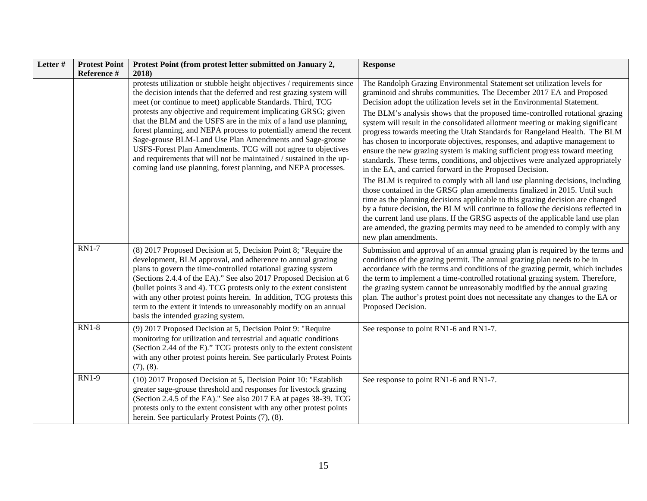| Letter # | <b>Protest Point</b> | Protest Point (from protest letter submitted on January 2,                                                                                                                                                                                                                                                                                                                                                                                                                                                                    | <b>Response</b>                                                                                                                                                                                                                                                                                                                                                                                                                                                                                                                                         |
|----------|----------------------|-------------------------------------------------------------------------------------------------------------------------------------------------------------------------------------------------------------------------------------------------------------------------------------------------------------------------------------------------------------------------------------------------------------------------------------------------------------------------------------------------------------------------------|---------------------------------------------------------------------------------------------------------------------------------------------------------------------------------------------------------------------------------------------------------------------------------------------------------------------------------------------------------------------------------------------------------------------------------------------------------------------------------------------------------------------------------------------------------|
|          | Reference #          | 2018)<br>protests utilization or stubble height objectives / requirements since<br>the decision intends that the deferred and rest grazing system will<br>meet (or continue to meet) applicable Standards. Third, TCG                                                                                                                                                                                                                                                                                                         | The Randolph Grazing Environmental Statement set utilization levels for<br>graminoid and shrubs communities. The December 2017 EA and Proposed<br>Decision adopt the utilization levels set in the Environmental Statement.                                                                                                                                                                                                                                                                                                                             |
|          |                      | protests any objective and requirement implicating GRSG; given<br>that the BLM and the USFS are in the mix of a land use planning,<br>forest planning, and NEPA process to potentially amend the recent<br>Sage-grouse BLM-Land Use Plan Amendments and Sage-grouse<br>USFS-Forest Plan Amendments. TCG will not agree to objectives<br>and requirements that will not be maintained / sustained in the up-<br>coming land use planning, forest planning, and NEPA processes.                                                 | The BLM's analysis shows that the proposed time-controlled rotational grazing<br>system will result in the consolidated allotment meeting or making significant<br>progress towards meeting the Utah Standards for Rangeland Health. The BLM<br>has chosen to incorporate objectives, responses, and adaptive management to<br>ensure the new grazing system is making sufficient progress toward meeting<br>standards. These terms, conditions, and objectives were analyzed appropriately<br>in the EA, and carried forward in the Proposed Decision. |
|          |                      |                                                                                                                                                                                                                                                                                                                                                                                                                                                                                                                               | The BLM is required to comply with all land use planning decisions, including<br>those contained in the GRSG plan amendments finalized in 2015. Until such<br>time as the planning decisions applicable to this grazing decision are changed<br>by a future decision, the BLM will continue to follow the decisions reflected in<br>the current land use plans. If the GRSG aspects of the applicable land use plan<br>are amended, the grazing permits may need to be amended to comply with any<br>new plan amendments.                               |
|          | <b>RN1-7</b>         | (8) 2017 Proposed Decision at 5, Decision Point 8; "Require the<br>development, BLM approval, and adherence to annual grazing<br>plans to govern the time-controlled rotational grazing system<br>(Sections 2.4.4 of the EA)." See also 2017 Proposed Decision at 6<br>(bullet points 3 and 4). TCG protests only to the extent consistent<br>with any other protest points herein. In addition, TCG protests this<br>term to the extent it intends to unreasonably modify on an annual<br>basis the intended grazing system. | Submission and approval of an annual grazing plan is required by the terms and<br>conditions of the grazing permit. The annual grazing plan needs to be in<br>accordance with the terms and conditions of the grazing permit, which includes<br>the term to implement a time-controlled rotational grazing system. Therefore,<br>the grazing system cannot be unreasonably modified by the annual grazing<br>plan. The author's protest point does not necessitate any changes to the EA or<br>Proposed Decision.                                       |
|          | $RN1-8$              | (9) 2017 Proposed Decision at 5, Decision Point 9: "Require<br>monitoring for utilization and terrestrial and aquatic conditions<br>(Section 2.44 of the E)." TCG protests only to the extent consistent<br>with any other protest points herein. See particularly Protest Points<br>(7), (8).                                                                                                                                                                                                                                | See response to point RN1-6 and RN1-7.                                                                                                                                                                                                                                                                                                                                                                                                                                                                                                                  |
|          | <b>RN1-9</b>         | (10) 2017 Proposed Decision at 5, Decision Point 10: "Establish<br>greater sage-grouse threshold and responses for livestock grazing<br>(Section 2.4.5 of the EA)." See also 2017 EA at pages 38-39. TCG<br>protests only to the extent consistent with any other protest points<br>herein. See particularly Protest Points (7), (8).                                                                                                                                                                                         | See response to point RN1-6 and RN1-7.                                                                                                                                                                                                                                                                                                                                                                                                                                                                                                                  |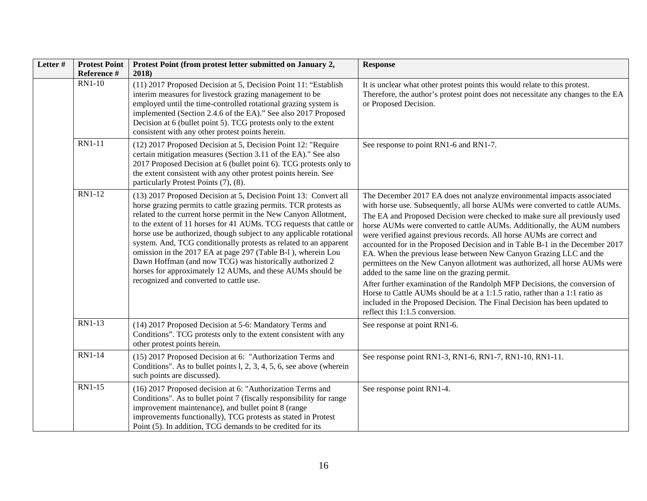| Letter# | <b>Protest Point</b><br>Reference # | Protest Point (from protest letter submitted on January 2,<br>2018)                                                                                                                                                                                                                                                                                                                                                                                                                                                                                                                                                                                               | <b>Response</b>                                                                                                                                                                                                                                                                                                                                                                                                                                                                                                                                                                                                                                                                                                                                                                                                                                                                                                                                           |
|---------|-------------------------------------|-------------------------------------------------------------------------------------------------------------------------------------------------------------------------------------------------------------------------------------------------------------------------------------------------------------------------------------------------------------------------------------------------------------------------------------------------------------------------------------------------------------------------------------------------------------------------------------------------------------------------------------------------------------------|-----------------------------------------------------------------------------------------------------------------------------------------------------------------------------------------------------------------------------------------------------------------------------------------------------------------------------------------------------------------------------------------------------------------------------------------------------------------------------------------------------------------------------------------------------------------------------------------------------------------------------------------------------------------------------------------------------------------------------------------------------------------------------------------------------------------------------------------------------------------------------------------------------------------------------------------------------------|
|         | <b>RN1-10</b>                       | (11) 2017 Proposed Decision at 5, Decision Point 11: "Establish<br>interim measures for livestock grazing management to be<br>employed until the time-controlled rotational grazing system is<br>implemented (Section 2.4.6 of the EA)." See also 2017 Proposed<br>Decision at 6 (bullet point 5). TCG protests only to the extent<br>consistent with any other protest points herein.                                                                                                                                                                                                                                                                            | It is unclear what other protest points this would relate to this protest.<br>Therefore, the author's protest point does not necessitate any changes to the EA<br>or Proposed Decision.                                                                                                                                                                                                                                                                                                                                                                                                                                                                                                                                                                                                                                                                                                                                                                   |
|         | <b>RN1-11</b>                       | (12) 2017 Proposed Decision at 5, Decision Point 12: "Require<br>certain mitigation measures (Section 3.11 of the EA)." See also<br>2017 Proposed Decision at 6 (bullet point 6). TCG protests only to<br>the extent consistent with any other protest points herein. See<br>particularly Protest Points (7), (8).                                                                                                                                                                                                                                                                                                                                                | See response to point RN1-6 and RN1-7.                                                                                                                                                                                                                                                                                                                                                                                                                                                                                                                                                                                                                                                                                                                                                                                                                                                                                                                    |
|         | <b>RN1-12</b>                       | (13) 2017 Proposed Decision at 5, Decision Point 13: Convert all<br>horse grazing permits to cattle grazing permits. TCR protests as<br>related to the current horse permit in the New Canyon Allotment,<br>to the extent of 11 horses for 41 AUMs. TCG requests that cattle or<br>horse use be authorized, though subject to any applicable rotational<br>system. And, TCG conditionally protests as related to an apparent<br>omission in the 2017 EA at page 297 (Table B-1), wherein Lou<br>Dawn Hoffman (and now TCG) was historically authorized 2<br>horses for approximately 12 AUMs, and these AUMs should be<br>recognized and converted to cattle use. | The December 2017 EA does not analyze environmental impacts associated<br>with horse use. Subsequently, all horse AUMs were converted to cattle AUMs.<br>The EA and Proposed Decision were checked to make sure all previously used<br>horse AUMs were converted to cattle AUMs. Additionally, the AUM numbers<br>were verified against previous records. All horse AUMs are correct and<br>accounted for in the Proposed Decision and in Table B-1 in the December 2017<br>EA. When the previous lease between New Canyon Grazing LLC and the<br>permittees on the New Canyon allotment was authorized, all horse AUMs were<br>added to the same line on the grazing permit.<br>After further examination of the Randolph MFP Decisions, the conversion of<br>Horse to Cattle AUMs should be at a 1:1.5 ratio, rather than a 1:1 ratio as<br>included in the Proposed Decision. The Final Decision has been updated to<br>reflect this 1:1.5 conversion. |
|         | RN1-13                              | (14) 2017 Proposed Decision at 5-6: Mandatory Terms and<br>Conditions". TCG protests only to the extent consistent with any<br>other protest points herein.                                                                                                                                                                                                                                                                                                                                                                                                                                                                                                       | See response at point RN1-6.                                                                                                                                                                                                                                                                                                                                                                                                                                                                                                                                                                                                                                                                                                                                                                                                                                                                                                                              |
|         | <b>RN1-14</b>                       | (15) 2017 Proposed Decision at 6: "Authorization Terms and<br>Conditions". As to bullet points 1, 2, 3, 4, 5, 6, see above (wherein<br>such points are discussed).                                                                                                                                                                                                                                                                                                                                                                                                                                                                                                | See response point RN1-3, RN1-6, RN1-7, RN1-10, RN1-11.                                                                                                                                                                                                                                                                                                                                                                                                                                                                                                                                                                                                                                                                                                                                                                                                                                                                                                   |
|         | <b>RN1-15</b>                       | (16) 2017 Proposed decision at 6: "Authorization Terms and<br>Conditions". As to bullet point 7 (fiscally responsibility for range<br>improvement maintenance), and bullet point 8 (range<br>improvements functionally), TCG protests as stated in Protest<br>Point (5). In addition, TCG demands to be credited for its                                                                                                                                                                                                                                                                                                                                          | See response point RN1-4.                                                                                                                                                                                                                                                                                                                                                                                                                                                                                                                                                                                                                                                                                                                                                                                                                                                                                                                                 |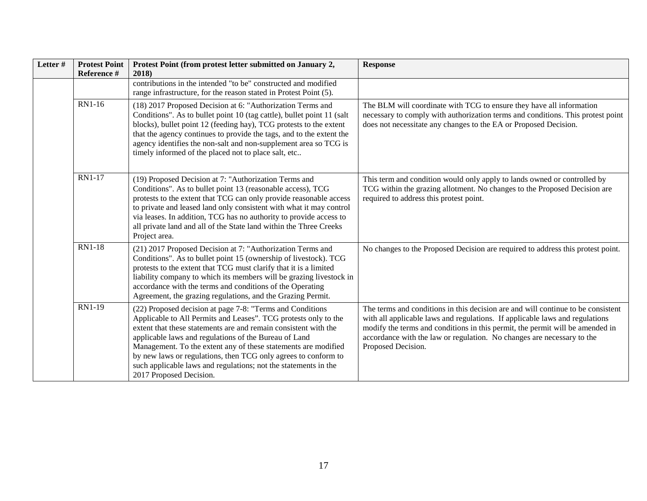| Letter# | <b>Protest Point</b><br>Reference # | Protest Point (from protest letter submitted on January 2,<br>2018)                                                                                                                                                                                                                                                                                                                                                                                                                        | <b>Response</b>                                                                                                                                                                                                                                                                                                                                   |
|---------|-------------------------------------|--------------------------------------------------------------------------------------------------------------------------------------------------------------------------------------------------------------------------------------------------------------------------------------------------------------------------------------------------------------------------------------------------------------------------------------------------------------------------------------------|---------------------------------------------------------------------------------------------------------------------------------------------------------------------------------------------------------------------------------------------------------------------------------------------------------------------------------------------------|
|         |                                     | contributions in the intended "to be" constructed and modified<br>range infrastructure, for the reason stated in Protest Point (5).                                                                                                                                                                                                                                                                                                                                                        |                                                                                                                                                                                                                                                                                                                                                   |
|         | RN1-16                              | (18) 2017 Proposed Decision at 6: "Authorization Terms and<br>Conditions". As to bullet point 10 (tag cattle), bullet point 11 (salt<br>blocks), bullet point 12 (feeding hay), TCG protests to the extent<br>that the agency continues to provide the tags, and to the extent the<br>agency identifies the non-salt and non-supplement area so TCG is<br>timely informed of the placed not to place salt, etc                                                                             | The BLM will coordinate with TCG to ensure they have all information<br>necessary to comply with authorization terms and conditions. This protest point<br>does not necessitate any changes to the EA or Proposed Decision.                                                                                                                       |
|         | <b>RN1-17</b>                       | (19) Proposed Decision at 7: "Authorization Terms and<br>Conditions". As to bullet point 13 (reasonable access), TCG<br>protests to the extent that TCG can only provide reasonable access<br>to private and leased land only consistent with what it may control<br>via leases. In addition, TCG has no authority to provide access to<br>all private land and all of the State land within the Three Creeks<br>Project area.                                                             | This term and condition would only apply to lands owned or controlled by<br>TCG within the grazing allotment. No changes to the Proposed Decision are<br>required to address this protest point.                                                                                                                                                  |
|         | <b>RN1-18</b>                       | (21) 2017 Proposed Decision at 7: "Authorization Terms and<br>Conditions". As to bullet point 15 (ownership of livestock). TCG<br>protests to the extent that TCG must clarify that it is a limited<br>liability company to which its members will be grazing livestock in<br>accordance with the terms and conditions of the Operating<br>Agreement, the grazing regulations, and the Grazing Permit.                                                                                     | No changes to the Proposed Decision are required to address this protest point.                                                                                                                                                                                                                                                                   |
|         | RN1-19                              | (22) Proposed decision at page 7-8: "Terms and Conditions<br>Applicable to All Permits and Leases". TCG protests only to the<br>extent that these statements are and remain consistent with the<br>applicable laws and regulations of the Bureau of Land<br>Management. To the extent any of these statements are modified<br>by new laws or regulations, then TCG only agrees to conform to<br>such applicable laws and regulations; not the statements in the<br>2017 Proposed Decision. | The terms and conditions in this decision are and will continue to be consistent<br>with all applicable laws and regulations. If applicable laws and regulations<br>modify the terms and conditions in this permit, the permit will be amended in<br>accordance with the law or regulation. No changes are necessary to the<br>Proposed Decision. |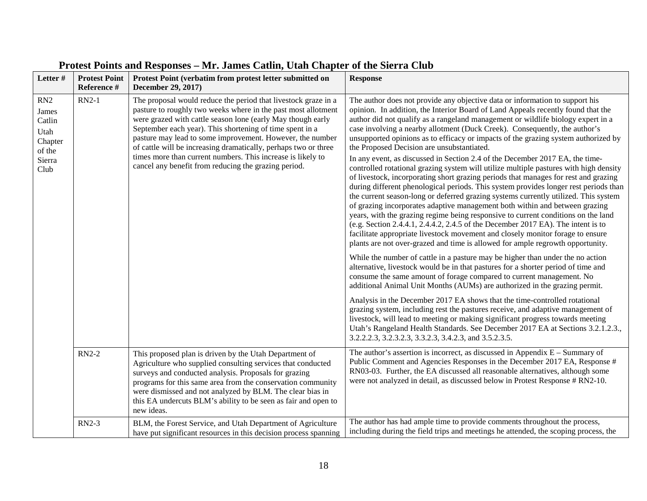| Letter#                                                               | <b>Protest Point</b><br>Reference # | Protest Point (verbatim from protest letter submitted on<br>December 29, 2017)                                                                                                                                                                                                                                                                                                                                                                                                                                    | <b>Response</b>                                                                                                                                                                                                                                                                                                                                                                                                                                                                                                                                                                                                                                                                                                                                                                                                                                                                                                                                                                                                                                                                                                                                                                                                                                                                                                                                                                                                                                                                                                                                                                                                                                                                                                                                                                                                                                                                                                                                                                                                                                                                |
|-----------------------------------------------------------------------|-------------------------------------|-------------------------------------------------------------------------------------------------------------------------------------------------------------------------------------------------------------------------------------------------------------------------------------------------------------------------------------------------------------------------------------------------------------------------------------------------------------------------------------------------------------------|--------------------------------------------------------------------------------------------------------------------------------------------------------------------------------------------------------------------------------------------------------------------------------------------------------------------------------------------------------------------------------------------------------------------------------------------------------------------------------------------------------------------------------------------------------------------------------------------------------------------------------------------------------------------------------------------------------------------------------------------------------------------------------------------------------------------------------------------------------------------------------------------------------------------------------------------------------------------------------------------------------------------------------------------------------------------------------------------------------------------------------------------------------------------------------------------------------------------------------------------------------------------------------------------------------------------------------------------------------------------------------------------------------------------------------------------------------------------------------------------------------------------------------------------------------------------------------------------------------------------------------------------------------------------------------------------------------------------------------------------------------------------------------------------------------------------------------------------------------------------------------------------------------------------------------------------------------------------------------------------------------------------------------------------------------------------------------|
| RN2<br>James<br>Catlin<br>Utah<br>Chapter<br>of the<br>Sierra<br>Club | $RN2-1$                             | The proposal would reduce the period that livestock graze in a<br>pasture to roughly two weeks where in the past most allotment<br>were grazed with cattle season lone (early May though early<br>September each year). This shortening of time spent in a<br>pasture may lead to some improvement. However, the number<br>of cattle will be increasing dramatically, perhaps two or three<br>times more than current numbers. This increase is likely to<br>cancel any benefit from reducing the grazing period. | The author does not provide any objective data or information to support his<br>opinion. In addition, the Interior Board of Land Appeals recently found that the<br>author did not qualify as a rangeland management or wildlife biology expert in a<br>case involving a nearby allotment (Duck Creek). Consequently, the author's<br>unsupported opinions as to efficacy or impacts of the grazing system authorized by<br>the Proposed Decision are unsubstantiated.<br>In any event, as discussed in Section 2.4 of the December 2017 EA, the time-<br>controlled rotational grazing system will utilize multiple pastures with high density<br>of livestock, incorporating short grazing periods that manages for rest and grazing<br>during different phenological periods. This system provides longer rest periods than<br>the current season-long or deferred grazing systems currently utilized. This system<br>of grazing incorporates adaptive management both within and between grazing<br>years, with the grazing regime being responsive to current conditions on the land<br>(e.g. Section 2.4.4.1, 2.4.4.2, 2.4.5 of the December 2017 EA). The intent is to<br>facilitate appropriate livestock movement and closely monitor forage to ensure<br>plants are not over-grazed and time is allowed for ample regrowth opportunity.<br>While the number of cattle in a pasture may be higher than under the no action<br>alternative, livestock would be in that pastures for a shorter period of time and<br>consume the same amount of forage compared to current management. No<br>additional Animal Unit Months (AUMs) are authorized in the grazing permit.<br>Analysis in the December 2017 EA shows that the time-controlled rotational<br>grazing system, including rest the pastures receive, and adaptive management of<br>livestock, will lead to meeting or making significant progress towards meeting<br>Utah's Rangeland Health Standards. See December 2017 EA at Sections 3.2.1.2.3.,<br>3.2.2.2.3, 3.2.3.2.3, 3.3.2.3, 3.4.2.3, and 3.5.2.3.5. |
|                                                                       | <b>RN2-2</b>                        | This proposed plan is driven by the Utah Department of<br>Agriculture who supplied consulting services that conducted<br>surveys and conducted analysis. Proposals for grazing<br>programs for this same area from the conservation community<br>were dismissed and not analyzed by BLM. The clear bias in<br>this EA undercuts BLM's ability to be seen as fair and open to<br>new ideas.                                                                                                                        | The author's assertion is incorrect, as discussed in Appendix $E -$ Summary of<br>Public Comment and Agencies Responses in the December 2017 EA, Response #<br>RN03-03. Further, the EA discussed all reasonable alternatives, although some<br>were not analyzed in detail, as discussed below in Protest Response # RN2-10.                                                                                                                                                                                                                                                                                                                                                                                                                                                                                                                                                                                                                                                                                                                                                                                                                                                                                                                                                                                                                                                                                                                                                                                                                                                                                                                                                                                                                                                                                                                                                                                                                                                                                                                                                  |
|                                                                       | RN2-3                               | BLM, the Forest Service, and Utah Department of Agriculture<br>have put significant resources in this decision process spanning                                                                                                                                                                                                                                                                                                                                                                                   | The author has had ample time to provide comments throughout the process,<br>including during the field trips and meetings he attended, the scoping process, the                                                                                                                                                                                                                                                                                                                                                                                                                                                                                                                                                                                                                                                                                                                                                                                                                                                                                                                                                                                                                                                                                                                                                                                                                                                                                                                                                                                                                                                                                                                                                                                                                                                                                                                                                                                                                                                                                                               |

# **Protest Points and Responses – Mr. James Catlin, Utah Chapter of the Sierra Club**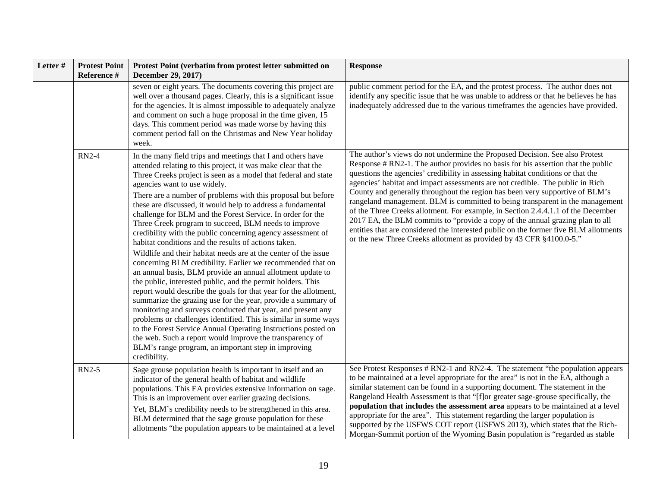| Letter# | <b>Protest Point</b><br>Reference # | Protest Point (verbatim from protest letter submitted on<br>December 29, 2017)                                                                                                                                                                                                                                                                                                                                                                                                                                                                                                                                                                                                                                                                                                                                                                                                                                                                                                                                                                                                                                                                                                                                                                                                                                                                     | <b>Response</b>                                                                                                                                                                                                                                                                                                                                                                                                                                                                                                                                                                                                                                                                                                                                                                                                                          |
|---------|-------------------------------------|----------------------------------------------------------------------------------------------------------------------------------------------------------------------------------------------------------------------------------------------------------------------------------------------------------------------------------------------------------------------------------------------------------------------------------------------------------------------------------------------------------------------------------------------------------------------------------------------------------------------------------------------------------------------------------------------------------------------------------------------------------------------------------------------------------------------------------------------------------------------------------------------------------------------------------------------------------------------------------------------------------------------------------------------------------------------------------------------------------------------------------------------------------------------------------------------------------------------------------------------------------------------------------------------------------------------------------------------------|------------------------------------------------------------------------------------------------------------------------------------------------------------------------------------------------------------------------------------------------------------------------------------------------------------------------------------------------------------------------------------------------------------------------------------------------------------------------------------------------------------------------------------------------------------------------------------------------------------------------------------------------------------------------------------------------------------------------------------------------------------------------------------------------------------------------------------------|
|         |                                     | seven or eight years. The documents covering this project are<br>well over a thousand pages. Clearly, this is a significant issue<br>for the agencies. It is almost impossible to adequately analyze<br>and comment on such a huge proposal in the time given, 15<br>days. This comment period was made worse by having this<br>comment period fall on the Christmas and New Year holiday<br>week.                                                                                                                                                                                                                                                                                                                                                                                                                                                                                                                                                                                                                                                                                                                                                                                                                                                                                                                                                 | public comment period for the EA, and the protest process. The author does not<br>identify any specific issue that he was unable to address or that he believes he has<br>inadequately addressed due to the various timeframes the agencies have provided.                                                                                                                                                                                                                                                                                                                                                                                                                                                                                                                                                                               |
|         | <b>RN2-4</b>                        | In the many field trips and meetings that I and others have<br>attended relating to this project, it was make clear that the<br>Three Creeks project is seen as a model that federal and state<br>agencies want to use widely.<br>There are a number of problems with this proposal but before<br>these are discussed, it would help to address a fundamental<br>challenge for BLM and the Forest Service. In order for the<br>Three Creek program to succeed, BLM needs to improve<br>credibility with the public concerning agency assessment of<br>habitat conditions and the results of actions taken.<br>Wildlife and their habitat needs are at the center of the issue<br>concerning BLM credibility. Earlier we recommended that on<br>an annual basis, BLM provide an annual allotment update to<br>the public, interested public, and the permit holders. This<br>report would describe the goals for that year for the allotment,<br>summarize the grazing use for the year, provide a summary of<br>monitoring and surveys conducted that year, and present any<br>problems or challenges identified. This is similar in some ways<br>to the Forest Service Annual Operating Instructions posted on<br>the web. Such a report would improve the transparency of<br>BLM's range program, an important step in improving<br>credibility. | The author's views do not undermine the Proposed Decision. See also Protest<br>Response # RN2-1. The author provides no basis for his assertion that the public<br>questions the agencies' credibility in assessing habitat conditions or that the<br>agencies' habitat and impact assessments are not credible. The public in Rich<br>County and generally throughout the region has been very supportive of BLM's<br>rangeland management. BLM is committed to being transparent in the management<br>of the Three Creeks allotment. For example, in Section 2.4.4.1.1 of the December<br>2017 EA, the BLM commits to "provide a copy of the annual grazing plan to all<br>entities that are considered the interested public on the former five BLM allotments<br>or the new Three Creeks allotment as provided by 43 CFR §4100.0-5." |
|         | <b>RN2-5</b>                        | Sage grouse population health is important in itself and an<br>indicator of the general health of habitat and wildlife<br>populations. This EA provides extensive information on sage.<br>This is an improvement over earlier grazing decisions.<br>Yet, BLM's credibility needs to be strengthened in this area.<br>BLM determined that the sage grouse population for these<br>allotments "the population appears to be maintained at a level                                                                                                                                                                                                                                                                                                                                                                                                                                                                                                                                                                                                                                                                                                                                                                                                                                                                                                    | See Protest Responses # RN2-1 and RN2-4. The statement "the population appears"<br>to be maintained at a level appropriate for the area" is not in the EA, although a<br>similar statement can be found in a supporting document. The statement in the<br>Rangeland Health Assessment is that "[f]or greater sage-grouse specifically, the<br>population that includes the assessment area appears to be maintained at a level<br>appropriate for the area". This statement regarding the larger population is<br>supported by the USFWS COT report (USFWS 2013), which states that the Rich-<br>Morgan-Summit portion of the Wyoming Basin population is "regarded as stable"                                                                                                                                                           |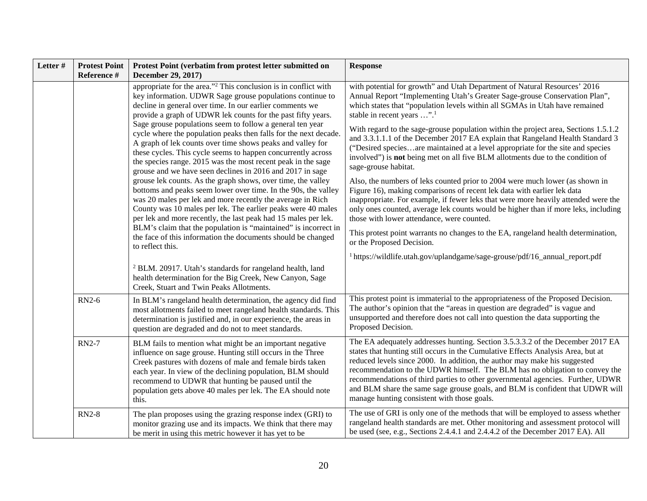| Letter# | <b>Protest Point</b><br>Reference # | Protest Point (verbatim from protest letter submitted on<br>December 29, 2017)                                                                                                                                                                                                                                                                                                                                                                                                                                                                                                                                                                                                                                                                                                                                                                                                                                                                                                                                                                                                                                                                                                                                                                                                                                                            | <b>Response</b>                                                                                                                                                                                                                                                                                                                                                                                                                                                                                                                                                                                                                                                                                                                                                                                                                                                                                                                                                                                                                                                                                                                                                                                                                                         |
|---------|-------------------------------------|-------------------------------------------------------------------------------------------------------------------------------------------------------------------------------------------------------------------------------------------------------------------------------------------------------------------------------------------------------------------------------------------------------------------------------------------------------------------------------------------------------------------------------------------------------------------------------------------------------------------------------------------------------------------------------------------------------------------------------------------------------------------------------------------------------------------------------------------------------------------------------------------------------------------------------------------------------------------------------------------------------------------------------------------------------------------------------------------------------------------------------------------------------------------------------------------------------------------------------------------------------------------------------------------------------------------------------------------|---------------------------------------------------------------------------------------------------------------------------------------------------------------------------------------------------------------------------------------------------------------------------------------------------------------------------------------------------------------------------------------------------------------------------------------------------------------------------------------------------------------------------------------------------------------------------------------------------------------------------------------------------------------------------------------------------------------------------------------------------------------------------------------------------------------------------------------------------------------------------------------------------------------------------------------------------------------------------------------------------------------------------------------------------------------------------------------------------------------------------------------------------------------------------------------------------------------------------------------------------------|
|         |                                     | appropriate for the area." <sup>2</sup> This conclusion is in conflict with<br>key information. UDWR Sage grouse populations continue to<br>decline in general over time. In our earlier comments we<br>provide a graph of UDWR lek counts for the past fifty years.<br>Sage grouse populations seem to follow a general ten year<br>cycle where the population peaks then falls for the next decade.<br>A graph of lek counts over time shows peaks and valley for<br>these cycles. This cycle seems to happen concurrently across<br>the species range. 2015 was the most recent peak in the sage<br>grouse and we have seen declines in 2016 and 2017 in sage<br>grouse lek counts. As the graph shows, over time, the valley<br>bottoms and peaks seem lower over time. In the 90s, the valley<br>was 20 males per lek and more recently the average in Rich<br>County was 10 males per lek. The earlier peaks were 40 males<br>per lek and more recently, the last peak had 15 males per lek.<br>BLM's claim that the population is "maintained" is incorrect in<br>the face of this information the documents should be changed<br>to reflect this.<br><sup>2</sup> BLM. 20917. Utah's standards for rangeland health, land<br>health determination for the Big Creek, New Canyon, Sage<br>Creek, Stuart and Twin Peaks Allotments. | with potential for growth" and Utah Department of Natural Resources' 2016<br>Annual Report "Implementing Utah's Greater Sage-grouse Conservation Plan",<br>which states that "population levels within all SGMAs in Utah have remained<br>stable in recent years ". <sup>1</sup><br>With regard to the sage-grouse population within the project area, Sections 1.5.1.2<br>and 3.3.1.1.1 of the December 2017 EA explain that Rangeland Health Standard 3<br>("Desired speciesare maintained at a level appropriate for the site and species<br>involved") is not being met on all five BLM allotments due to the condition of<br>sage-grouse habitat.<br>Also, the numbers of leks counted prior to 2004 were much lower (as shown in<br>Figure 16), making comparisons of recent lek data with earlier lek data<br>inappropriate. For example, if fewer leks that were more heavily attended were the<br>only ones counted, average lek counts would be higher than if more leks, including<br>those with lower attendance, were counted.<br>This protest point warrants no changes to the EA, rangeland health determination,<br>or the Proposed Decision.<br><sup>1</sup> https://wildlife.utah.gov/uplandgame/sage-grouse/pdf/16_annual_report.pdf |
|         | <b>RN2-6</b>                        | In BLM's rangeland health determination, the agency did find<br>most allotments failed to meet rangeland health standards. This<br>determination is justified and, in our experience, the areas in<br>question are degraded and do not to meet standards.                                                                                                                                                                                                                                                                                                                                                                                                                                                                                                                                                                                                                                                                                                                                                                                                                                                                                                                                                                                                                                                                                 | This protest point is immaterial to the appropriateness of the Proposed Decision.<br>The author's opinion that the "areas in question are degraded" is vague and<br>unsupported and therefore does not call into question the data supporting the<br>Proposed Decision.                                                                                                                                                                                                                                                                                                                                                                                                                                                                                                                                                                                                                                                                                                                                                                                                                                                                                                                                                                                 |
|         | <b>RN2-7</b>                        | BLM fails to mention what might be an important negative<br>influence on sage grouse. Hunting still occurs in the Three<br>Creek pastures with dozens of male and female birds taken<br>each year. In view of the declining population, BLM should<br>recommend to UDWR that hunting be paused until the<br>population gets above 40 males per lek. The EA should note<br>this.                                                                                                                                                                                                                                                                                                                                                                                                                                                                                                                                                                                                                                                                                                                                                                                                                                                                                                                                                           | The EA adequately addresses hunting. Section 3.5.3.3.2 of the December 2017 EA<br>states that hunting still occurs in the Cumulative Effects Analysis Area, but at<br>reduced levels since 2000. In addition, the author may make his suggested<br>recommendation to the UDWR himself. The BLM has no obligation to convey the<br>recommendations of third parties to other governmental agencies. Further, UDWR<br>and BLM share the same sage grouse goals, and BLM is confident that UDWR will<br>manage hunting consistent with those goals.                                                                                                                                                                                                                                                                                                                                                                                                                                                                                                                                                                                                                                                                                                        |
|         | <b>RN2-8</b>                        | The plan proposes using the grazing response index (GRI) to<br>monitor grazing use and its impacts. We think that there may<br>be merit in using this metric however it has yet to be                                                                                                                                                                                                                                                                                                                                                                                                                                                                                                                                                                                                                                                                                                                                                                                                                                                                                                                                                                                                                                                                                                                                                     | The use of GRI is only one of the methods that will be employed to assess whether<br>rangeland health standards are met. Other monitoring and assessment protocol will<br>be used (see, e.g., Sections 2.4.4.1 and 2.4.4.2 of the December 2017 EA). All                                                                                                                                                                                                                                                                                                                                                                                                                                                                                                                                                                                                                                                                                                                                                                                                                                                                                                                                                                                                |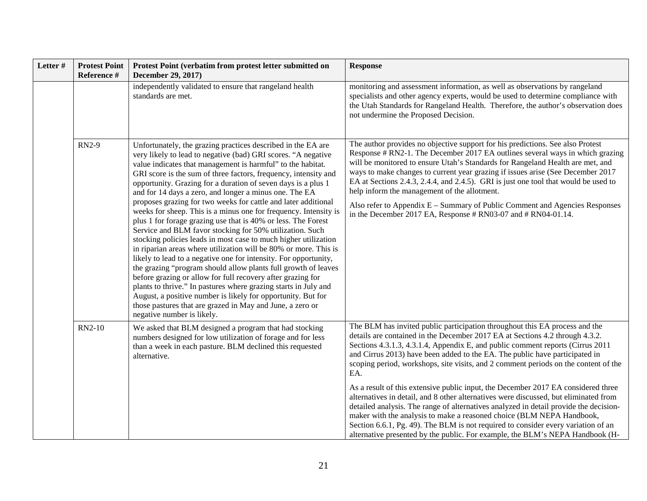| Letter# | <b>Protest Point</b><br>Reference # | Protest Point (verbatim from protest letter submitted on<br>December 29, 2017)                                                                                                                                                                                                                                                                                                                                                                                                                                                                                                                                                                                                                                                                                                                                                                                                                                                                                                                                                                                                                                                                                                                                                          | <b>Response</b>                                                                                                                                                                                                                                                                                                                                                                                                                                                                                                                                                                                                                                                                                                                                                                                                                                                                                                                                 |
|---------|-------------------------------------|-----------------------------------------------------------------------------------------------------------------------------------------------------------------------------------------------------------------------------------------------------------------------------------------------------------------------------------------------------------------------------------------------------------------------------------------------------------------------------------------------------------------------------------------------------------------------------------------------------------------------------------------------------------------------------------------------------------------------------------------------------------------------------------------------------------------------------------------------------------------------------------------------------------------------------------------------------------------------------------------------------------------------------------------------------------------------------------------------------------------------------------------------------------------------------------------------------------------------------------------|-------------------------------------------------------------------------------------------------------------------------------------------------------------------------------------------------------------------------------------------------------------------------------------------------------------------------------------------------------------------------------------------------------------------------------------------------------------------------------------------------------------------------------------------------------------------------------------------------------------------------------------------------------------------------------------------------------------------------------------------------------------------------------------------------------------------------------------------------------------------------------------------------------------------------------------------------|
|         |                                     | independently validated to ensure that rangeland health<br>standards are met.                                                                                                                                                                                                                                                                                                                                                                                                                                                                                                                                                                                                                                                                                                                                                                                                                                                                                                                                                                                                                                                                                                                                                           | monitoring and assessment information, as well as observations by rangeland<br>specialists and other agency experts, would be used to determine compliance with<br>the Utah Standards for Rangeland Health. Therefore, the author's observation does<br>not undermine the Proposed Decision.                                                                                                                                                                                                                                                                                                                                                                                                                                                                                                                                                                                                                                                    |
|         | <b>RN2-9</b>                        | Unfortunately, the grazing practices described in the EA are<br>very likely to lead to negative (bad) GRI scores. "A negative<br>value indicates that management is harmful" to the habitat.<br>GRI score is the sum of three factors, frequency, intensity and<br>opportunity. Grazing for a duration of seven days is a plus 1<br>and for 14 days a zero, and longer a minus one. The EA<br>proposes grazing for two weeks for cattle and later additional<br>weeks for sheep. This is a minus one for frequency. Intensity is<br>plus 1 for forage grazing use that is 40% or less. The Forest<br>Service and BLM favor stocking for 50% utilization. Such<br>stocking policies leads in most case to much higher utilization<br>in riparian areas where utilization will be 80% or more. This is<br>likely to lead to a negative one for intensity. For opportunity,<br>the grazing "program should allow plants full growth of leaves<br>before grazing or allow for full recovery after grazing for<br>plants to thrive." In pastures where grazing starts in July and<br>August, a positive number is likely for opportunity. But for<br>those pastures that are grazed in May and June, a zero or<br>negative number is likely. | The author provides no objective support for his predictions. See also Protest<br>Response # RN2-1. The December 2017 EA outlines several ways in which grazing<br>will be monitored to ensure Utah's Standards for Rangeland Health are met, and<br>ways to make changes to current year grazing if issues arise (See December 2017<br>EA at Sections 2.4.3, 2.4.4, and 2.4.5). GRI is just one tool that would be used to<br>help inform the management of the allotment.<br>Also refer to Appendix E – Summary of Public Comment and Agencies Responses<br>in the December 2017 EA, Response # RN03-07 and # RN04-01.14.                                                                                                                                                                                                                                                                                                                     |
|         | RN2-10                              | We asked that BLM designed a program that had stocking<br>numbers designed for low utilization of forage and for less<br>than a week in each pasture. BLM declined this requested<br>alternative.                                                                                                                                                                                                                                                                                                                                                                                                                                                                                                                                                                                                                                                                                                                                                                                                                                                                                                                                                                                                                                       | The BLM has invited public participation throughout this EA process and the<br>details are contained in the December 2017 EA at Sections 4.2 through 4.3.2.<br>Sections 4.3.1.3, 4.3.1.4, Appendix E, and public comment reports (Cirrus 2011<br>and Cirrus 2013) have been added to the EA. The public have participated in<br>scoping period, workshops, site visits, and 2 comment periods on the content of the<br>EA.<br>As a result of this extensive public input, the December 2017 EA considered three<br>alternatives in detail, and 8 other alternatives were discussed, but eliminated from<br>detailed analysis. The range of alternatives analyzed in detail provide the decision-<br>maker with the analysis to make a reasoned choice (BLM NEPA Handbook,<br>Section 6.6.1, Pg. 49). The BLM is not required to consider every variation of an<br>alternative presented by the public. For example, the BLM's NEPA Handbook (H- |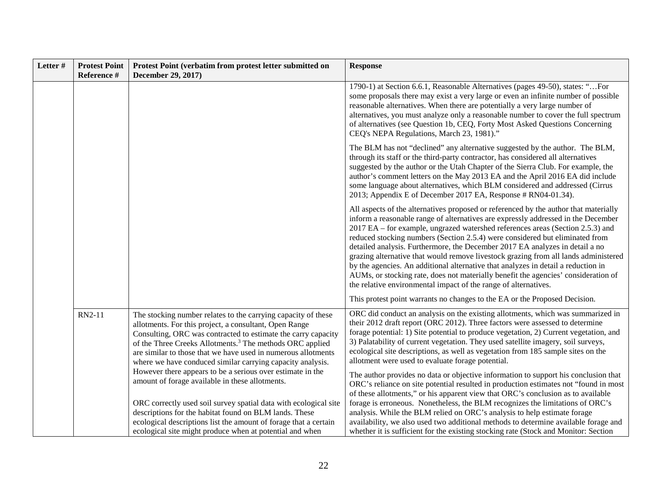| Letter# | <b>Protest Point</b><br>Reference # | Protest Point (verbatim from protest letter submitted on<br>December 29, 2017)                                                                                                                                                                                                                                                                                                                  | <b>Response</b>                                                                                                                                                                                                                                                                                                                                                                                                                                                                                                                                                                                                                                                                                                                                                  |
|---------|-------------------------------------|-------------------------------------------------------------------------------------------------------------------------------------------------------------------------------------------------------------------------------------------------------------------------------------------------------------------------------------------------------------------------------------------------|------------------------------------------------------------------------------------------------------------------------------------------------------------------------------------------------------------------------------------------------------------------------------------------------------------------------------------------------------------------------------------------------------------------------------------------------------------------------------------------------------------------------------------------------------------------------------------------------------------------------------------------------------------------------------------------------------------------------------------------------------------------|
|         |                                     |                                                                                                                                                                                                                                                                                                                                                                                                 | 1790-1) at Section 6.6.1, Reasonable Alternatives (pages 49-50), states: "For<br>some proposals there may exist a very large or even an infinite number of possible<br>reasonable alternatives. When there are potentially a very large number of<br>alternatives, you must analyze only a reasonable number to cover the full spectrum<br>of alternatives (see Question 1b, CEQ, Forty Most Asked Questions Concerning<br>CEQ's NEPA Regulations, March 23, 1981)."                                                                                                                                                                                                                                                                                             |
|         |                                     |                                                                                                                                                                                                                                                                                                                                                                                                 | The BLM has not "declined" any alternative suggested by the author. The BLM,<br>through its staff or the third-party contractor, has considered all alternatives<br>suggested by the author or the Utah Chapter of the Sierra Club. For example, the<br>author's comment letters on the May 2013 EA and the April 2016 EA did include<br>some language about alternatives, which BLM considered and addressed (Cirrus<br>2013; Appendix E of December 2017 EA, Response # RN04-01.34).                                                                                                                                                                                                                                                                           |
|         |                                     |                                                                                                                                                                                                                                                                                                                                                                                                 | All aspects of the alternatives proposed or referenced by the author that materially<br>inform a reasonable range of alternatives are expressly addressed in the December<br>2017 EA – for example, ungrazed watershed references areas (Section 2.5.3) and<br>reduced stocking numbers (Section 2.5.4) were considered but eliminated from<br>detailed analysis. Furthermore, the December 2017 EA analyzes in detail a no<br>grazing alternative that would remove livestock grazing from all lands administered<br>by the agencies. An additional alternative that analyzes in detail a reduction in<br>AUMs, or stocking rate, does not materially benefit the agencies' consideration of<br>the relative environmental impact of the range of alternatives. |
|         |                                     |                                                                                                                                                                                                                                                                                                                                                                                                 | This protest point warrants no changes to the EA or the Proposed Decision.                                                                                                                                                                                                                                                                                                                                                                                                                                                                                                                                                                                                                                                                                       |
|         | RN2-11                              | The stocking number relates to the carrying capacity of these<br>allotments. For this project, a consultant, Open Range<br>Consulting, ORC was contracted to estimate the carry capacity<br>of the Three Creeks Allotments. <sup>3</sup> The methods ORC applied<br>are similar to those that we have used in numerous allotments<br>where we have conduced similar carrying capacity analysis. | ORC did conduct an analysis on the existing allotments, which was summarized in<br>their 2012 draft report (ORC 2012). Three factors were assessed to determine<br>forage potential: 1) Site potential to produce vegetation, 2) Current vegetation, and<br>3) Palatability of current vegetation. They used satellite imagery, soil surveys,<br>ecological site descriptions, as well as vegetation from 185 sample sites on the<br>allotment were used to evaluate forage potential.                                                                                                                                                                                                                                                                           |
|         |                                     | However there appears to be a serious over estimate in the<br>amount of forage available in these allotments.<br>ORC correctly used soil survey spatial data with ecological site<br>descriptions for the habitat found on BLM lands. These<br>ecological descriptions list the amount of forage that a certain<br>ecological site might produce when at potential and when                     | The author provides no data or objective information to support his conclusion that<br>ORC's reliance on site potential resulted in production estimates not "found in most<br>of these allotments," or his apparent view that ORC's conclusion as to available<br>forage is erroneous. Nonetheless, the BLM recognizes the limitations of ORC's<br>analysis. While the BLM relied on ORC's analysis to help estimate forage<br>availability, we also used two additional methods to determine available forage and<br>whether it is sufficient for the existing stocking rate (Stock and Monitor: Section                                                                                                                                                       |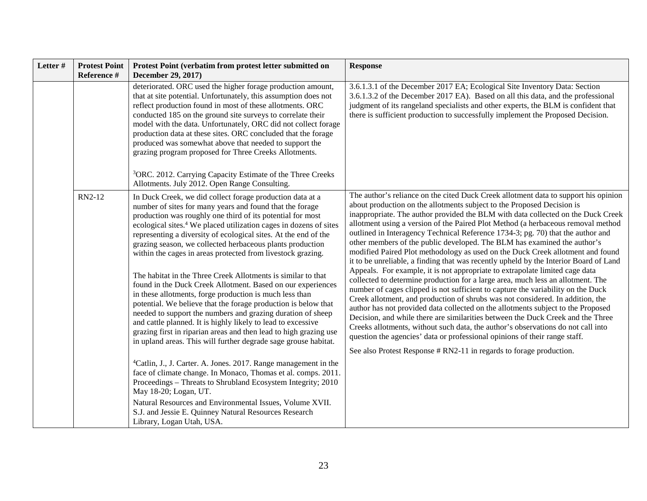| Letter# | <b>Protest Point</b><br>Reference # | Protest Point (verbatim from protest letter submitted on<br>December 29, 2017)                                                                                                                                                                                                                                                                                                                                                                                                                                                                                                                                                                                                                                                                                                                                                                                                                                                                                                                                                                                                        | <b>Response</b>                                                                                                                                                                                                                                                                                                                                                                                                                                                                                                                                                                                                                                                                                                                                                                                                                                                                                                                                                                                                                                                                                                                                                                                                                                                                                                                                                                                                                          |
|---------|-------------------------------------|---------------------------------------------------------------------------------------------------------------------------------------------------------------------------------------------------------------------------------------------------------------------------------------------------------------------------------------------------------------------------------------------------------------------------------------------------------------------------------------------------------------------------------------------------------------------------------------------------------------------------------------------------------------------------------------------------------------------------------------------------------------------------------------------------------------------------------------------------------------------------------------------------------------------------------------------------------------------------------------------------------------------------------------------------------------------------------------|------------------------------------------------------------------------------------------------------------------------------------------------------------------------------------------------------------------------------------------------------------------------------------------------------------------------------------------------------------------------------------------------------------------------------------------------------------------------------------------------------------------------------------------------------------------------------------------------------------------------------------------------------------------------------------------------------------------------------------------------------------------------------------------------------------------------------------------------------------------------------------------------------------------------------------------------------------------------------------------------------------------------------------------------------------------------------------------------------------------------------------------------------------------------------------------------------------------------------------------------------------------------------------------------------------------------------------------------------------------------------------------------------------------------------------------|
|         |                                     | deteriorated. ORC used the higher forage production amount,<br>that at site potential. Unfortunately, this assumption does not<br>reflect production found in most of these allotments. ORC<br>conducted 185 on the ground site surveys to correlate their<br>model with the data. Unfortunately, ORC did not collect forage<br>production data at these sites. ORC concluded that the forage<br>produced was somewhat above that needed to support the<br>grazing program proposed for Three Creeks Allotments.<br><sup>3</sup> ORC. 2012. Carrying Capacity Estimate of the Three Creeks<br>Allotments. July 2012. Open Range Consulting.                                                                                                                                                                                                                                                                                                                                                                                                                                           | 3.6.1.3.1 of the December 2017 EA; Ecological Site Inventory Data: Section<br>3.6.1.3.2 of the December 2017 EA). Based on all this data, and the professional<br>judgment of its rangeland specialists and other experts, the BLM is confident that<br>there is sufficient production to successfully implement the Proposed Decision.                                                                                                                                                                                                                                                                                                                                                                                                                                                                                                                                                                                                                                                                                                                                                                                                                                                                                                                                                                                                                                                                                                  |
|         | RN2-12                              | In Duck Creek, we did collect forage production data at a<br>number of sites for many years and found that the forage<br>production was roughly one third of its potential for most<br>ecological sites. <sup>4</sup> We placed utilization cages in dozens of sites<br>representing a diversity of ecological sites. At the end of the<br>grazing season, we collected herbaceous plants production<br>within the cages in areas protected from livestock grazing.<br>The habitat in the Three Creek Allotments is similar to that<br>found in the Duck Creek Allotment. Based on our experiences<br>in these allotments, forge production is much less than<br>potential. We believe that the forage production is below that<br>needed to support the numbers and grazing duration of sheep<br>and cattle planned. It is highly likely to lead to excessive<br>grazing first in riparian areas and then lead to high grazing use<br>in upland areas. This will further degrade sage grouse habitat.<br><sup>4</sup> Catlin, J., J. Carter. A. Jones. 2017. Range management in the | The author's reliance on the cited Duck Creek allotment data to support his opinion<br>about production on the allotments subject to the Proposed Decision is<br>inappropriate. The author provided the BLM with data collected on the Duck Creek<br>allotment using a version of the Paired Plot Method (a herbaceous removal method<br>outlined in Interagency Technical Reference 1734-3; pg. 70) that the author and<br>other members of the public developed. The BLM has examined the author's<br>modified Paired Plot methodology as used on the Duck Creek allotment and found<br>it to be unreliable, a finding that was recently upheld by the Interior Board of Land<br>Appeals. For example, it is not appropriate to extrapolate limited cage data<br>collected to determine production for a large area, much less an allotment. The<br>number of cages clipped is not sufficient to capture the variability on the Duck<br>Creek allotment, and production of shrubs was not considered. In addition, the<br>author has not provided data collected on the allotments subject to the Proposed<br>Decision, and while there are similarities between the Duck Creek and the Three<br>Creeks allotments, without such data, the author's observations do not call into<br>question the agencies' data or professional opinions of their range staff.<br>See also Protest Response # RN2-11 in regards to forage production. |
|         |                                     | face of climate change. In Monaco, Thomas et al. comps. 2011.<br>Proceedings - Threats to Shrubland Ecosystem Integrity; 2010<br>May 18-20; Logan, UT.<br>Natural Resources and Environmental Issues, Volume XVII.<br>S.J. and Jessie E. Quinney Natural Resources Research<br>Library, Logan Utah, USA.                                                                                                                                                                                                                                                                                                                                                                                                                                                                                                                                                                                                                                                                                                                                                                              |                                                                                                                                                                                                                                                                                                                                                                                                                                                                                                                                                                                                                                                                                                                                                                                                                                                                                                                                                                                                                                                                                                                                                                                                                                                                                                                                                                                                                                          |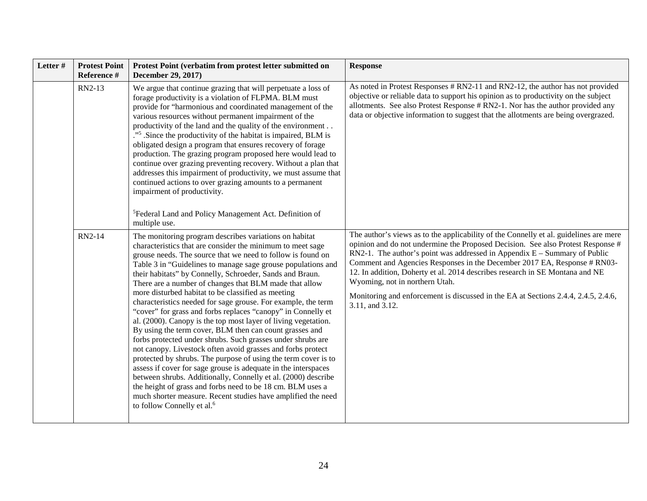| Letter # | <b>Protest Point</b><br>Reference # | Protest Point (verbatim from protest letter submitted on<br>December 29, 2017)                                                                                                                                                                                                                                                                                                                                                                                                                                                                                                                                                                                                                                                                                                                                                                                                                                                                                                                                                                                                                                                                                                                           | <b>Response</b>                                                                                                                                                                                                                                                                                                                                                                                                                                                                                                                                                |
|----------|-------------------------------------|----------------------------------------------------------------------------------------------------------------------------------------------------------------------------------------------------------------------------------------------------------------------------------------------------------------------------------------------------------------------------------------------------------------------------------------------------------------------------------------------------------------------------------------------------------------------------------------------------------------------------------------------------------------------------------------------------------------------------------------------------------------------------------------------------------------------------------------------------------------------------------------------------------------------------------------------------------------------------------------------------------------------------------------------------------------------------------------------------------------------------------------------------------------------------------------------------------|----------------------------------------------------------------------------------------------------------------------------------------------------------------------------------------------------------------------------------------------------------------------------------------------------------------------------------------------------------------------------------------------------------------------------------------------------------------------------------------------------------------------------------------------------------------|
|          | RN2-13                              | We argue that continue grazing that will perpetuate a loss of<br>forage productivity is a violation of FLPMA. BLM must<br>provide for "harmonious and coordinated management of the<br>various resources without permanent impairment of the<br>productivity of the land and the quality of the environment<br>." <sup>5</sup> .Since the productivity of the habitat is impaired, BLM is<br>obligated design a program that ensures recovery of forage<br>production. The grazing program proposed here would lead to<br>continue over grazing preventing recovery. Without a plan that<br>addresses this impairment of productivity, we must assume that<br>continued actions to over grazing amounts to a permanent<br>impairment of productivity.<br><sup>5</sup> Federal Land and Policy Management Act. Definition of<br>multiple use.                                                                                                                                                                                                                                                                                                                                                             | As noted in Protest Responses # RN2-11 and RN2-12, the author has not provided<br>objective or reliable data to support his opinion as to productivity on the subject<br>allotments. See also Protest Response # RN2-1. Nor has the author provided any<br>data or objective information to suggest that the allotments are being overgrazed.                                                                                                                                                                                                                  |
|          | RN2-14                              | The monitoring program describes variations on habitat<br>characteristics that are consider the minimum to meet sage<br>grouse needs. The source that we need to follow is found on<br>Table 3 in "Guidelines to manage sage grouse populations and<br>their habitats" by Connelly, Schroeder, Sands and Braun.<br>There are a number of changes that BLM made that allow<br>more disturbed habitat to be classified as meeting<br>characteristics needed for sage grouse. For example, the term<br>"cover" for grass and forbs replaces "canopy" in Connelly et<br>al. (2000). Canopy is the top most layer of living vegetation.<br>By using the term cover, BLM then can count grasses and<br>forbs protected under shrubs. Such grasses under shrubs are<br>not canopy. Livestock often avoid grasses and forbs protect<br>protected by shrubs. The purpose of using the term cover is to<br>assess if cover for sage grouse is adequate in the interspaces<br>between shrubs. Additionally, Connelly et al. (2000) describe<br>the height of grass and forbs need to be 18 cm. BLM uses a<br>much shorter measure. Recent studies have amplified the need<br>to follow Connelly et al. <sup>6</sup> | The author's views as to the applicability of the Connelly et al. guidelines are mere<br>opinion and do not undermine the Proposed Decision. See also Protest Response #<br>RN2-1. The author's point was addressed in Appendix $E -$ Summary of Public<br>Comment and Agencies Responses in the December 2017 EA, Response # RN03-<br>12. In addition, Doherty et al. 2014 describes research in SE Montana and NE<br>Wyoming, not in northern Utah.<br>Monitoring and enforcement is discussed in the EA at Sections 2.4.4, 2.4.5, 2.4.6,<br>3.11, and 3.12. |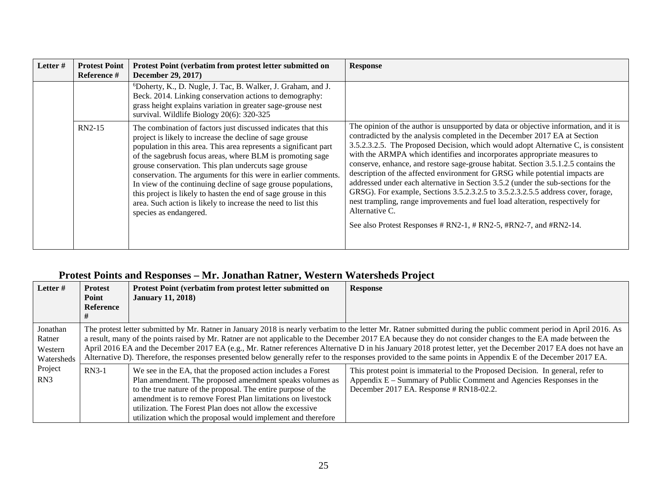| Letter# | <b>Protest Point</b><br>Reference # | Protest Point (verbatim from protest letter submitted on<br><b>December 29, 2017)</b>                                                                                                                                                                                                                                                                                                                                                                                                                                                                                                                               | <b>Response</b>                                                                                                                                                                                                                                                                                                                                                                                                                                                                                                                                                                                                                                                                                                                                                                                                                                            |
|---------|-------------------------------------|---------------------------------------------------------------------------------------------------------------------------------------------------------------------------------------------------------------------------------------------------------------------------------------------------------------------------------------------------------------------------------------------------------------------------------------------------------------------------------------------------------------------------------------------------------------------------------------------------------------------|------------------------------------------------------------------------------------------------------------------------------------------------------------------------------------------------------------------------------------------------------------------------------------------------------------------------------------------------------------------------------------------------------------------------------------------------------------------------------------------------------------------------------------------------------------------------------------------------------------------------------------------------------------------------------------------------------------------------------------------------------------------------------------------------------------------------------------------------------------|
|         |                                     | <sup>6</sup> Doherty, K., D. Nugle, J. Tac, B. Walker, J. Graham, and J.<br>Beck. 2014. Linking conservation actions to demography:<br>grass height explains variation in greater sage-grouse nest<br>survival. Wildlife Biology 20(6): 320-325                                                                                                                                                                                                                                                                                                                                                                     |                                                                                                                                                                                                                                                                                                                                                                                                                                                                                                                                                                                                                                                                                                                                                                                                                                                            |
|         | $RN2-15$                            | The combination of factors just discussed indicates that this<br>project is likely to increase the decline of sage grouse<br>population in this area. This area represents a significant part<br>of the sagebrush focus areas, where BLM is promoting sage<br>grouse conservation. This plan undercuts sage grouse<br>conservation. The arguments for this were in earlier comments.<br>In view of the continuing decline of sage grouse populations,<br>this project is likely to hasten the end of sage grouse in this<br>area. Such action is likely to increase the need to list this<br>species as endangered. | The opinion of the author is unsupported by data or objective information, and it is<br>contradicted by the analysis completed in the December 2017 EA at Section<br>3.5.2.3.2.5. The Proposed Decision, which would adopt Alternative C, is consistent<br>with the ARMPA which identifies and incorporates appropriate measures to<br>conserve, enhance, and restore sage-grouse habitat. Section 3.5.1.2.5 contains the<br>description of the affected environment for GRSG while potential impacts are<br>addressed under each alternative in Section 3.5.2 (under the sub-sections for the<br>GRSG). For example, Sections 3.5.2.3.2.5 to 3.5.2.3.2.5.5 address cover, forage,<br>nest trampling, range improvements and fuel load alteration, respectively for<br>Alternative C.<br>See also Protest Responses # RN2-1, # RN2-5, #RN2-7, and #RN2-14. |

## **Protest Points and Responses – Mr. Jonathan Ratner, Western Watersheds Project**

| Letter#                                     | <b>Protest</b><br>Point<br><b>Reference</b>                                                                                                                                                                                                                                                                                                                                                                                                                                                                                                                                                                                                                            | Protest Point (verbatim from protest letter submitted on<br><b>January 11, 2018</b> )                                                                                                                                                                                                                                                                                                 | <b>Response</b>                                                                                                                                                                                    |
|---------------------------------------------|------------------------------------------------------------------------------------------------------------------------------------------------------------------------------------------------------------------------------------------------------------------------------------------------------------------------------------------------------------------------------------------------------------------------------------------------------------------------------------------------------------------------------------------------------------------------------------------------------------------------------------------------------------------------|---------------------------------------------------------------------------------------------------------------------------------------------------------------------------------------------------------------------------------------------------------------------------------------------------------------------------------------------------------------------------------------|----------------------------------------------------------------------------------------------------------------------------------------------------------------------------------------------------|
| Jonathan<br>Ratner<br>Western<br>Watersheds | The protest letter submitted by Mr. Ratner in January 2018 is nearly verbatim to the letter Mr. Ratner submitted during the public comment period in April 2016. As<br>a result, many of the points raised by Mr. Ratner are not applicable to the December 2017 EA because they do not consider changes to the EA made between the<br>April 2016 EA and the December 2017 EA (e.g., Mr. Ratner references Alternative D in his January 2018 protest letter, yet the December 2017 EA does not have an<br>Alternative D). Therefore, the responses presented below generally refer to the responses provided to the same points in Appendix E of the December 2017 EA. |                                                                                                                                                                                                                                                                                                                                                                                       |                                                                                                                                                                                                    |
| Project<br>RN3                              | $RN3-1$                                                                                                                                                                                                                                                                                                                                                                                                                                                                                                                                                                                                                                                                | We see in the EA, that the proposed action includes a Forest<br>Plan amendment. The proposed amendment speaks volumes as<br>to the true nature of the proposal. The entire purpose of the<br>amendment is to remove Forest Plan limitations on livestock<br>utilization. The Forest Plan does not allow the excessive<br>utilization which the proposal would implement and therefore | This protest point is immaterial to the Proposed Decision. In general, refer to<br>Appendix E – Summary of Public Comment and Agencies Responses in the<br>December 2017 EA. Response # RN18-02.2. |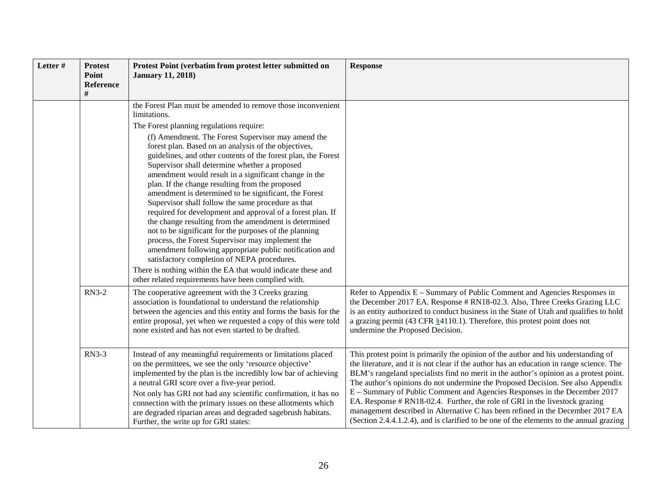| Letter# | <b>Protest</b><br>Point<br>Reference<br># | Protest Point (verbatim from protest letter submitted on<br><b>January 11, 2018)</b>                                                                                                                                                                                                                                                                                                                                                                                                                                                                                                                                                                                                                                                                                                                                                                                                                                                                                                                                                                      | <b>Response</b>                                                                                                                                                                                                                                                                                                                                                                                                                                                                                                                                                                                                                                                                                     |
|---------|-------------------------------------------|-----------------------------------------------------------------------------------------------------------------------------------------------------------------------------------------------------------------------------------------------------------------------------------------------------------------------------------------------------------------------------------------------------------------------------------------------------------------------------------------------------------------------------------------------------------------------------------------------------------------------------------------------------------------------------------------------------------------------------------------------------------------------------------------------------------------------------------------------------------------------------------------------------------------------------------------------------------------------------------------------------------------------------------------------------------|-----------------------------------------------------------------------------------------------------------------------------------------------------------------------------------------------------------------------------------------------------------------------------------------------------------------------------------------------------------------------------------------------------------------------------------------------------------------------------------------------------------------------------------------------------------------------------------------------------------------------------------------------------------------------------------------------------|
|         |                                           | the Forest Plan must be amended to remove those inconvenient<br>limitations.<br>The Forest planning regulations require:<br>(f) Amendment. The Forest Supervisor may amend the<br>forest plan. Based on an analysis of the objectives,<br>guidelines, and other contents of the forest plan, the Forest<br>Supervisor shall determine whether a proposed<br>amendment would result in a significant change in the<br>plan. If the change resulting from the proposed<br>amendment is determined to be significant, the Forest<br>Supervisor shall follow the same procedure as that<br>required for development and approval of a forest plan. If<br>the change resulting from the amendment is determined<br>not to be significant for the purposes of the planning<br>process, the Forest Supervisor may implement the<br>amendment following appropriate public notification and<br>satisfactory completion of NEPA procedures.<br>There is nothing within the EA that would indicate these and<br>other related requirements have been complied with. |                                                                                                                                                                                                                                                                                                                                                                                                                                                                                                                                                                                                                                                                                                     |
|         | <b>RN3-2</b>                              | The cooperative agreement with the 3 Creeks grazing<br>association is foundational to understand the relationship<br>between the agencies and this entity and forms the basis for the<br>entire proposal, yet when we requested a copy of this were told<br>none existed and has not even started to be drafted.                                                                                                                                                                                                                                                                                                                                                                                                                                                                                                                                                                                                                                                                                                                                          | Refer to Appendix E – Summary of Public Comment and Agencies Responses in<br>the December 2017 EA. Response # RN18-02.3. Also, Three Creeks Grazing LLC<br>is an entity authorized to conduct business in the State of Utah and qualifies to hold<br>a grazing permit (43 CFR $§$ 4110.1). Therefore, this protest point does not<br>undermine the Proposed Decision.                                                                                                                                                                                                                                                                                                                               |
|         | <b>RN3-3</b>                              | Instead of any meaningful requirements or limitations placed<br>on the permittees, we see the only 'resource objective'<br>implemented by the plan is the incredibly low bar of achieving<br>a neutral GRI score over a five-year period.<br>Not only has GRI not had any scientific confirmation, it has no<br>connection with the primary issues on these allotments which<br>are degraded riparian areas and degraded sagebrush habitats.<br>Further, the write up for GRI states:                                                                                                                                                                                                                                                                                                                                                                                                                                                                                                                                                                     | This protest point is primarily the opinion of the author and his understanding of<br>the literature, and it is not clear if the author has an education in range science. The<br>BLM's rangeland specialists find no merit in the author's opinion as a protest point.<br>The author's opinions do not undermine the Proposed Decision. See also Appendix<br>E – Summary of Public Comment and Agencies Responses in the December 2017<br>EA. Response # RN18-02.4. Further, the role of GRI in the livestock grazing<br>management described in Alternative C has been refined in the December 2017 EA<br>(Section 2.4.4.1.2.4), and is clarified to be one of the elements to the annual grazing |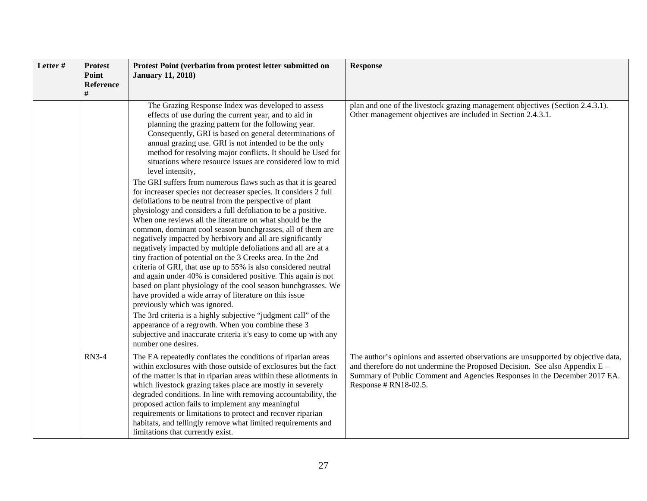| Letter# | <b>Protest</b><br>Point<br>Reference<br># | Protest Point (verbatim from protest letter submitted on<br><b>January 11, 2018)</b>                                                                                                                                                                                                                                                                                                                                                                                                                                                                                                                                                                                                                                                                                                                                                                                                                                                                                                                                                                                                                                                                                                                                                                                                                                                                                                                                                                                                                                                                   | <b>Response</b>                                                                                                                                                                                                                                                           |
|---------|-------------------------------------------|--------------------------------------------------------------------------------------------------------------------------------------------------------------------------------------------------------------------------------------------------------------------------------------------------------------------------------------------------------------------------------------------------------------------------------------------------------------------------------------------------------------------------------------------------------------------------------------------------------------------------------------------------------------------------------------------------------------------------------------------------------------------------------------------------------------------------------------------------------------------------------------------------------------------------------------------------------------------------------------------------------------------------------------------------------------------------------------------------------------------------------------------------------------------------------------------------------------------------------------------------------------------------------------------------------------------------------------------------------------------------------------------------------------------------------------------------------------------------------------------------------------------------------------------------------|---------------------------------------------------------------------------------------------------------------------------------------------------------------------------------------------------------------------------------------------------------------------------|
|         |                                           | The Grazing Response Index was developed to assess<br>effects of use during the current year, and to aid in<br>planning the grazing pattern for the following year.<br>Consequently, GRI is based on general determinations of<br>annual grazing use. GRI is not intended to be the only<br>method for resolving major conflicts. It should be Used for<br>situations where resource issues are considered low to mid<br>level intensity,<br>The GRI suffers from numerous flaws such as that it is geared<br>for increaser species not decreaser species. It considers 2 full<br>defoliations to be neutral from the perspective of plant<br>physiology and considers a full defoliation to be a positive.<br>When one reviews all the literature on what should be the<br>common, dominant cool season bunchgrasses, all of them are<br>negatively impacted by herbivory and all are significantly<br>negatively impacted by multiple defoliations and all are at a<br>tiny fraction of potential on the 3 Creeks area. In the 2nd<br>criteria of GRI, that use up to 55% is also considered neutral<br>and again under 40% is considered positive. This again is not<br>based on plant physiology of the cool season bunchgrasses. We<br>have provided a wide array of literature on this issue<br>previously which was ignored.<br>The 3rd criteria is a highly subjective "judgment call" of the<br>appearance of a regrowth. When you combine these 3<br>subjective and inaccurate criteria it's easy to come up with any<br>number one desires. | plan and one of the livestock grazing management objectives (Section 2.4.3.1).<br>Other management objectives are included in Section 2.4.3.1.                                                                                                                            |
|         | <b>RN3-4</b>                              | The EA repeatedly conflates the conditions of riparian areas<br>within exclosures with those outside of exclosures but the fact<br>of the matter is that in riparian areas within these allotments in<br>which livestock grazing takes place are mostly in severely<br>degraded conditions. In line with removing accountability, the<br>proposed action fails to implement any meaningful<br>requirements or limitations to protect and recover riparian<br>habitats, and tellingly remove what limited requirements and<br>limitations that currently exist.                                                                                                                                                                                                                                                                                                                                                                                                                                                                                                                                                                                                                                                                                                                                                                                                                                                                                                                                                                                         | The author's opinions and asserted observations are unsupported by objective data,<br>and therefore do not undermine the Proposed Decision. See also Appendix $E -$<br>Summary of Public Comment and Agencies Responses in the December 2017 EA.<br>Response # RN18-02.5. |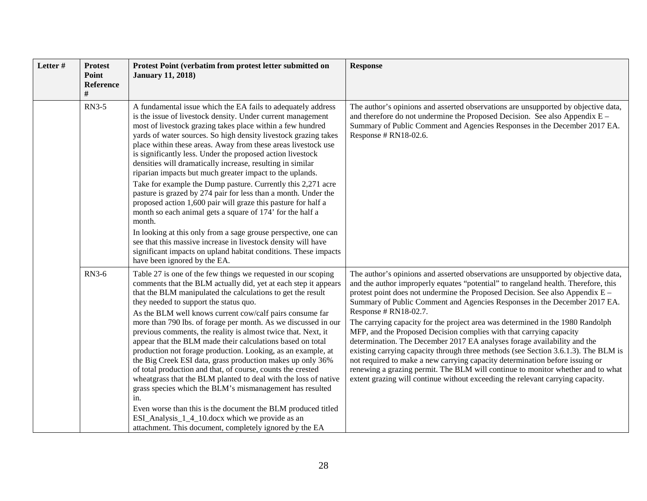| Letter # | <b>Protest</b><br>Point<br><b>Reference</b> | Protest Point (verbatim from protest letter submitted on<br><b>January 11, 2018)</b>                                                                                                                                                                                                                                                                                                                                                                                                                                                                                                                                                                                                                                                                                                                                                                                                                                                                                                                                                   | <b>Response</b>                                                                                                                                                                                                                                                                                                                                                                                                                                                                                                                                                                                                                                                                                                                                                                                                                                                                                                                                 |
|----------|---------------------------------------------|----------------------------------------------------------------------------------------------------------------------------------------------------------------------------------------------------------------------------------------------------------------------------------------------------------------------------------------------------------------------------------------------------------------------------------------------------------------------------------------------------------------------------------------------------------------------------------------------------------------------------------------------------------------------------------------------------------------------------------------------------------------------------------------------------------------------------------------------------------------------------------------------------------------------------------------------------------------------------------------------------------------------------------------|-------------------------------------------------------------------------------------------------------------------------------------------------------------------------------------------------------------------------------------------------------------------------------------------------------------------------------------------------------------------------------------------------------------------------------------------------------------------------------------------------------------------------------------------------------------------------------------------------------------------------------------------------------------------------------------------------------------------------------------------------------------------------------------------------------------------------------------------------------------------------------------------------------------------------------------------------|
|          | <b>RN3-5</b>                                | A fundamental issue which the EA fails to adequately address<br>is the issue of livestock density. Under current management<br>most of livestock grazing takes place within a few hundred<br>yards of water sources. So high density livestock grazing takes<br>place within these areas. Away from these areas livestock use<br>is significantly less. Under the proposed action livestock<br>densities will dramatically increase, resulting in similar<br>riparian impacts but much greater impact to the uplands.<br>Take for example the Dump pasture. Currently this 2,271 acre<br>pasture is grazed by 274 pair for less than a month. Under the<br>proposed action 1,600 pair will graze this pasture for half a<br>month so each animal gets a square of 174' for the half a<br>month.<br>In looking at this only from a sage grouse perspective, one can<br>see that this massive increase in livestock density will have<br>significant impacts on upland habitat conditions. These impacts<br>have been ignored by the EA. | The author's opinions and asserted observations are unsupported by objective data,<br>and therefore do not undermine the Proposed Decision. See also Appendix E -<br>Summary of Public Comment and Agencies Responses in the December 2017 EA.<br>Response # RN18-02.6.                                                                                                                                                                                                                                                                                                                                                                                                                                                                                                                                                                                                                                                                         |
|          | <b>RN3-6</b>                                | Table 27 is one of the few things we requested in our scoping<br>comments that the BLM actually did, yet at each step it appears<br>that the BLM manipulated the calculations to get the result<br>they needed to support the status quo.<br>As the BLM well knows current cow/calf pairs consume far<br>more than 790 lbs. of forage per month. As we discussed in our<br>previous comments, the reality is almost twice that. Next, it<br>appear that the BLM made their calculations based on total<br>production not forage production. Looking, as an example, at<br>the Big Creek ESI data, grass production makes up only 36%<br>of total production and that, of course, counts the crested<br>wheatgrass that the BLM planted to deal with the loss of native<br>grass species which the BLM's mismanagement has resulted<br>in.<br>Even worse than this is the document the BLM produced titled<br>ESI_Analysis_1_4_10.docx which we provide as an<br>attachment. This document, completely ignored by the EA                | The author's opinions and asserted observations are unsupported by objective data,<br>and the author improperly equates "potential" to rangeland health. Therefore, this<br>protest point does not undermine the Proposed Decision. See also Appendix E –<br>Summary of Public Comment and Agencies Responses in the December 2017 EA.<br>Response # RN18-02.7.<br>The carrying capacity for the project area was determined in the 1980 Randolph<br>MFP, and the Proposed Decision complies with that carrying capacity<br>determination. The December 2017 EA analyses forage availability and the<br>existing carrying capacity through three methods (see Section 3.6.1.3). The BLM is<br>not required to make a new carrying capacity determination before issuing or<br>renewing a grazing permit. The BLM will continue to monitor whether and to what<br>extent grazing will continue without exceeding the relevant carrying capacity. |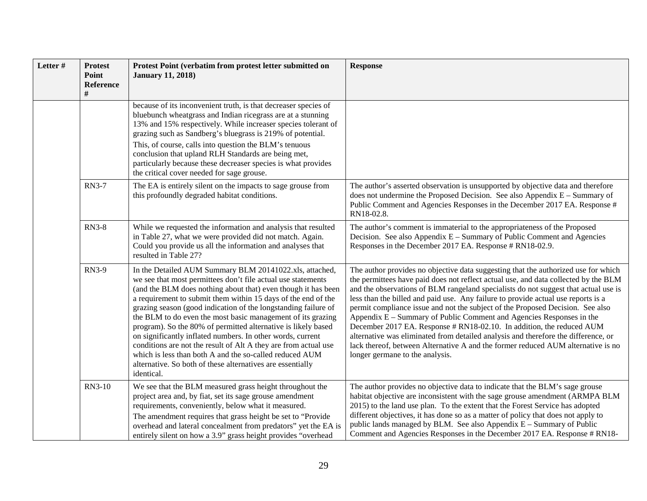| Letter# | <b>Protest</b><br>Point<br><b>Reference</b> | Protest Point (verbatim from protest letter submitted on<br><b>January 11, 2018)</b>                                                                                                                                                                                                                                                                                                                                                                                                                                                                                                                                                                                                                                                | <b>Response</b>                                                                                                                                                                                                                                                                                                                                                                                                                                                                                                                                                                                                                                                                                                                                                                                       |
|---------|---------------------------------------------|-------------------------------------------------------------------------------------------------------------------------------------------------------------------------------------------------------------------------------------------------------------------------------------------------------------------------------------------------------------------------------------------------------------------------------------------------------------------------------------------------------------------------------------------------------------------------------------------------------------------------------------------------------------------------------------------------------------------------------------|-------------------------------------------------------------------------------------------------------------------------------------------------------------------------------------------------------------------------------------------------------------------------------------------------------------------------------------------------------------------------------------------------------------------------------------------------------------------------------------------------------------------------------------------------------------------------------------------------------------------------------------------------------------------------------------------------------------------------------------------------------------------------------------------------------|
|         |                                             | because of its inconvenient truth, is that decreaser species of<br>bluebunch wheatgrass and Indian ricegrass are at a stunning<br>13% and 15% respectively. While increaser species tolerant of<br>grazing such as Sandberg's bluegrass is 219% of potential.<br>This, of course, calls into question the BLM's tenuous<br>conclusion that upland RLH Standards are being met,<br>particularly because these decreaser species is what provides<br>the critical cover needed for sage grouse.                                                                                                                                                                                                                                       |                                                                                                                                                                                                                                                                                                                                                                                                                                                                                                                                                                                                                                                                                                                                                                                                       |
|         | <b>RN3-7</b>                                | The EA is entirely silent on the impacts to sage grouse from<br>this profoundly degraded habitat conditions.                                                                                                                                                                                                                                                                                                                                                                                                                                                                                                                                                                                                                        | The author's asserted observation is unsupported by objective data and therefore<br>does not undermine the Proposed Decision. See also Appendix E - Summary of<br>Public Comment and Agencies Responses in the December 2017 EA. Response #<br>RN18-02.8.                                                                                                                                                                                                                                                                                                                                                                                                                                                                                                                                             |
|         | <b>RN3-8</b>                                | While we requested the information and analysis that resulted<br>in Table 27, what we were provided did not match. Again.<br>Could you provide us all the information and analyses that<br>resulted in Table 27?                                                                                                                                                                                                                                                                                                                                                                                                                                                                                                                    | The author's comment is immaterial to the appropriateness of the Proposed<br>Decision. See also Appendix E – Summary of Public Comment and Agencies<br>Responses in the December 2017 EA. Response # RN18-02.9.                                                                                                                                                                                                                                                                                                                                                                                                                                                                                                                                                                                       |
|         | <b>RN3-9</b>                                | In the Detailed AUM Summary BLM 20141022.xls, attached,<br>we see that most permittees don't file actual use statements<br>(and the BLM does nothing about that) even though it has been<br>a requirement to submit them within 15 days of the end of the<br>grazing season (good indication of the longstanding failure of<br>the BLM to do even the most basic management of its grazing<br>program). So the 80% of permitted alternative is likely based<br>on significantly inflated numbers. In other words, current<br>conditions are not the result of Alt A they are from actual use<br>which is less than both A and the so-called reduced AUM<br>alternative. So both of these alternatives are essentially<br>identical. | The author provides no objective data suggesting that the authorized use for which<br>the permittees have paid does not reflect actual use, and data collected by the BLM<br>and the observations of BLM rangeland specialists do not suggest that actual use is<br>less than the billed and paid use. Any failure to provide actual use reports is a<br>permit compliance issue and not the subject of the Proposed Decision. See also<br>Appendix E – Summary of Public Comment and Agencies Responses in the<br>December 2017 EA. Response # RN18-02.10. In addition, the reduced AUM<br>alternative was eliminated from detailed analysis and therefore the difference, or<br>lack thereof, between Alternative A and the former reduced AUM alternative is no<br>longer germane to the analysis. |
|         | RN3-10                                      | We see that the BLM measured grass height throughout the<br>project area and, by fiat, set its sage grouse amendment<br>requirements, conveniently, below what it measured.<br>The amendment requires that grass height be set to "Provide"<br>overhead and lateral concealment from predators" yet the EA is<br>entirely silent on how a 3.9" grass height provides "overhead                                                                                                                                                                                                                                                                                                                                                      | The author provides no objective data to indicate that the BLM's sage grouse<br>habitat objective are inconsistent with the sage grouse amendment (ARMPA BLM<br>2015) to the land use plan. To the extent that the Forest Service has adopted<br>different objectives, it has done so as a matter of policy that does not apply to<br>public lands managed by BLM. See also Appendix $E -$ Summary of Public<br>Comment and Agencies Responses in the December 2017 EA. Response # RN18-                                                                                                                                                                                                                                                                                                              |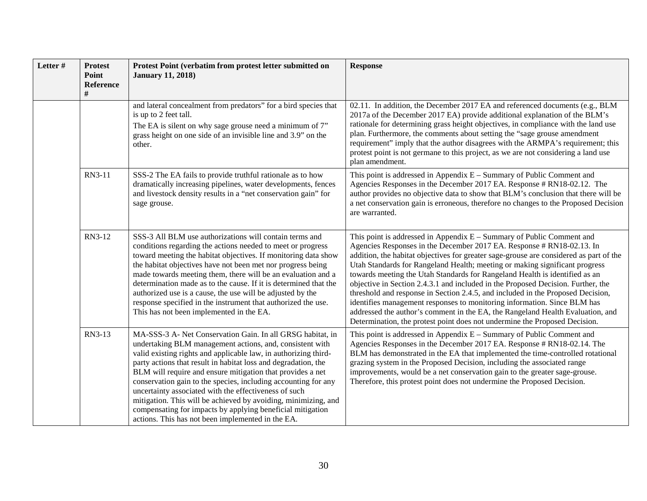| Letter # | <b>Protest</b><br>Point<br><b>Reference</b><br># | Protest Point (verbatim from protest letter submitted on<br><b>January 11, 2018)</b>                                                                                                                                                                                                                                                                                                                                                                                                                                                                                                                                                      | <b>Response</b>                                                                                                                                                                                                                                                                                                                                                                                                                                                                                                                                                                                                                                                                                                                                                                                                             |
|----------|--------------------------------------------------|-------------------------------------------------------------------------------------------------------------------------------------------------------------------------------------------------------------------------------------------------------------------------------------------------------------------------------------------------------------------------------------------------------------------------------------------------------------------------------------------------------------------------------------------------------------------------------------------------------------------------------------------|-----------------------------------------------------------------------------------------------------------------------------------------------------------------------------------------------------------------------------------------------------------------------------------------------------------------------------------------------------------------------------------------------------------------------------------------------------------------------------------------------------------------------------------------------------------------------------------------------------------------------------------------------------------------------------------------------------------------------------------------------------------------------------------------------------------------------------|
|          |                                                  | and lateral concealment from predators" for a bird species that<br>is up to 2 feet tall.<br>The EA is silent on why sage grouse need a minimum of 7"<br>grass height on one side of an invisible line and 3.9" on the<br>other.                                                                                                                                                                                                                                                                                                                                                                                                           | 02.11. In addition, the December 2017 EA and referenced documents (e.g., BLM<br>2017a of the December 2017 EA) provide additional explanation of the BLM's<br>rationale for determining grass height objectives, in compliance with the land use<br>plan. Furthermore, the comments about setting the "sage grouse amendment"<br>requirement" imply that the author disagrees with the ARMPA's requirement; this<br>protest point is not germane to this project, as we are not considering a land use<br>plan amendment.                                                                                                                                                                                                                                                                                                   |
|          | RN3-11                                           | SSS-2 The EA fails to provide truthful rationale as to how<br>dramatically increasing pipelines, water developments, fences<br>and livestock density results in a "net conservation gain" for<br>sage grouse.                                                                                                                                                                                                                                                                                                                                                                                                                             | This point is addressed in Appendix $E -$ Summary of Public Comment and<br>Agencies Responses in the December 2017 EA. Response # RN18-02.12. The<br>author provides no objective data to show that BLM's conclusion that there will be<br>a net conservation gain is erroneous, therefore no changes to the Proposed Decision<br>are warranted.                                                                                                                                                                                                                                                                                                                                                                                                                                                                            |
|          | RN3-12                                           | SSS-3 All BLM use authorizations will contain terms and<br>conditions regarding the actions needed to meet or progress<br>toward meeting the habitat objectives. If monitoring data show<br>the habitat objectives have not been met nor progress being<br>made towards meeting them, there will be an evaluation and a<br>determination made as to the cause. If it is determined that the<br>authorized use is a cause, the use will be adjusted by the<br>response specified in the instrument that authorized the use.<br>This has not been implemented in the EA.                                                                    | This point is addressed in Appendix $E -$ Summary of Public Comment and<br>Agencies Responses in the December 2017 EA. Response # RN18-02.13. In<br>addition, the habitat objectives for greater sage-grouse are considered as part of the<br>Utah Standards for Rangeland Health; meeting or making significant progress<br>towards meeting the Utah Standards for Rangeland Health is identified as an<br>objective in Section 2.4.3.1 and included in the Proposed Decision. Further, the<br>threshold and response in Section 2.4.5, and included in the Proposed Decision,<br>identifies management responses to monitoring information. Since BLM has<br>addressed the author's comment in the EA, the Rangeland Health Evaluation, and<br>Determination, the protest point does not undermine the Proposed Decision. |
|          | RN3-13                                           | MA-SSS-3 A- Net Conservation Gain. In all GRSG habitat, in<br>undertaking BLM management actions, and, consistent with<br>valid existing rights and applicable law, in authorizing third-<br>party actions that result in habitat loss and degradation, the<br>BLM will require and ensure mitigation that provides a net<br>conservation gain to the species, including accounting for any<br>uncertainty associated with the effectiveness of such<br>mitigation. This will be achieved by avoiding, minimizing, and<br>compensating for impacts by applying beneficial mitigation<br>actions. This has not been implemented in the EA. | This point is addressed in Appendix $E -$ Summary of Public Comment and<br>Agencies Responses in the December 2017 EA. Response # RN18-02.14. The<br>BLM has demonstrated in the EA that implemented the time-controlled rotational<br>grazing system in the Proposed Decision, including the associated range<br>improvements, would be a net conservation gain to the greater sage-grouse.<br>Therefore, this protest point does not undermine the Proposed Decision.                                                                                                                                                                                                                                                                                                                                                     |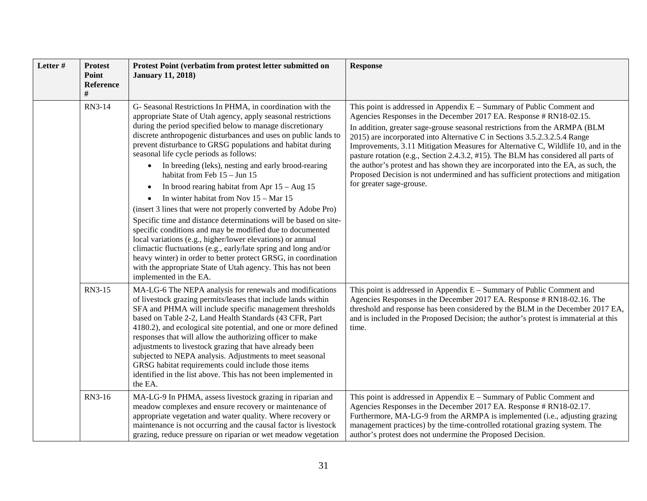| Letter # | <b>Protest</b><br>Point<br><b>Reference</b> | Protest Point (verbatim from protest letter submitted on<br><b>January 11, 2018)</b>                                                                                                                                                                                                                                                                                                                                                                                                                                                                                                                                                                                                                                                                                                                                                                                                                                                                                                                                                                                                          | <b>Response</b>                                                                                                                                                                                                                                                                                                                                                                                                                                                                                                                                                                                                                                                                            |
|----------|---------------------------------------------|-----------------------------------------------------------------------------------------------------------------------------------------------------------------------------------------------------------------------------------------------------------------------------------------------------------------------------------------------------------------------------------------------------------------------------------------------------------------------------------------------------------------------------------------------------------------------------------------------------------------------------------------------------------------------------------------------------------------------------------------------------------------------------------------------------------------------------------------------------------------------------------------------------------------------------------------------------------------------------------------------------------------------------------------------------------------------------------------------|--------------------------------------------------------------------------------------------------------------------------------------------------------------------------------------------------------------------------------------------------------------------------------------------------------------------------------------------------------------------------------------------------------------------------------------------------------------------------------------------------------------------------------------------------------------------------------------------------------------------------------------------------------------------------------------------|
|          | RN3-14                                      | G- Seasonal Restrictions In PHMA, in coordination with the<br>appropriate State of Utah agency, apply seasonal restrictions<br>during the period specified below to manage discretionary<br>discrete anthropogenic disturbances and uses on public lands to<br>prevent disturbance to GRSG populations and habitat during<br>seasonal life cycle periods as follows:<br>In breeding (leks), nesting and early brood-rearing<br>$\bullet$<br>habitat from Feb 15 - Jun 15<br>In brood rearing habitat from Apr $15 - Aug\ 15$<br>$\bullet$<br>In winter habitat from Nov $15 - \text{Mar } 15$<br>(insert 3 lines that were not properly converted by Adobe Pro)<br>Specific time and distance determinations will be based on site-<br>specific conditions and may be modified due to documented<br>local variations (e.g., higher/lower elevations) or annual<br>climactic fluctuations (e.g., early/late spring and long and/or<br>heavy winter) in order to better protect GRSG, in coordination<br>with the appropriate State of Utah agency. This has not been<br>implemented in the EA. | This point is addressed in Appendix $E -$ Summary of Public Comment and<br>Agencies Responses in the December 2017 EA. Response # RN18-02.15.<br>In addition, greater sage-grouse seasonal restrictions from the ARMPA (BLM<br>2015) are incorporated into Alternative C in Sections 3.5.2.3.2.5.4 Range<br>Improvements, 3.11 Mitigation Measures for Alternative C, Wildlife 10, and in the<br>pasture rotation (e.g., Section 2.4.3.2, #15). The BLM has considered all parts of<br>the author's protest and has shown they are incorporated into the EA, as such, the<br>Proposed Decision is not undermined and has sufficient protections and mitigation<br>for greater sage-grouse. |
|          | RN3-15                                      | MA-LG-6 The NEPA analysis for renewals and modifications<br>of livestock grazing permits/leases that include lands within<br>SFA and PHMA will include specific management thresholds<br>based on Table 2-2, Land Health Standards (43 CFR, Part<br>4180.2), and ecological site potential, and one or more defined<br>responses that will allow the authorizing officer to make<br>adjustments to livestock grazing that have already been<br>subjected to NEPA analysis. Adjustments to meet seasonal<br>GRSG habitat requirements could include those items<br>identified in the list above. This has not been implemented in<br>the EA.                                                                                                                                                                                                                                                                                                                                                                                                                                                   | This point is addressed in Appendix $E -$ Summary of Public Comment and<br>Agencies Responses in the December 2017 EA. Response # RN18-02.16. The<br>threshold and response has been considered by the BLM in the December 2017 EA,<br>and is included in the Proposed Decision; the author's protest is immaterial at this<br>time.                                                                                                                                                                                                                                                                                                                                                       |
|          | RN3-16                                      | MA-LG-9 In PHMA, assess livestock grazing in riparian and<br>meadow complexes and ensure recovery or maintenance of<br>appropriate vegetation and water quality. Where recovery or<br>maintenance is not occurring and the causal factor is livestock<br>grazing, reduce pressure on riparian or wet meadow vegetation                                                                                                                                                                                                                                                                                                                                                                                                                                                                                                                                                                                                                                                                                                                                                                        | This point is addressed in Appendix $E -$ Summary of Public Comment and<br>Agencies Responses in the December 2017 EA. Response # RN18-02.17.<br>Furthermore, MA-LG-9 from the ARMPA is implemented (i.e., adjusting grazing<br>management practices) by the time-controlled rotational grazing system. The<br>author's protest does not undermine the Proposed Decision.                                                                                                                                                                                                                                                                                                                  |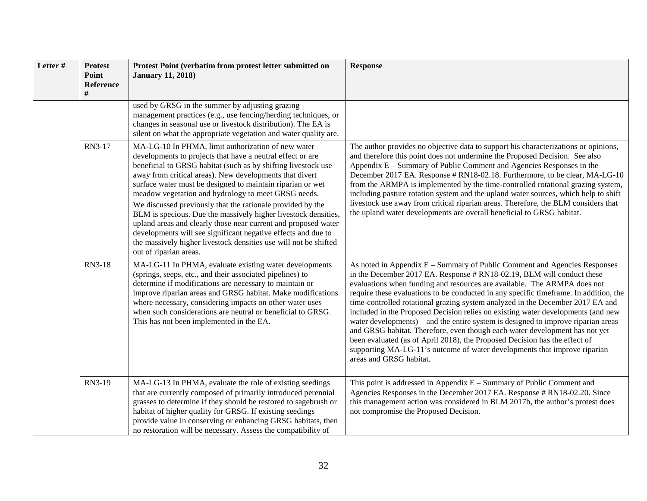| Letter# | <b>Protest</b><br>Point<br><b>Reference</b><br># | Protest Point (verbatim from protest letter submitted on<br><b>January 11, 2018)</b>                                                                                                                                                                                                                                                                                                                                                                                                                                                                                                                                                                                                                                               | <b>Response</b>                                                                                                                                                                                                                                                                                                                                                                                                                                                                                                                                                                                                                                                                                                                                                                                                                                          |
|---------|--------------------------------------------------|------------------------------------------------------------------------------------------------------------------------------------------------------------------------------------------------------------------------------------------------------------------------------------------------------------------------------------------------------------------------------------------------------------------------------------------------------------------------------------------------------------------------------------------------------------------------------------------------------------------------------------------------------------------------------------------------------------------------------------|----------------------------------------------------------------------------------------------------------------------------------------------------------------------------------------------------------------------------------------------------------------------------------------------------------------------------------------------------------------------------------------------------------------------------------------------------------------------------------------------------------------------------------------------------------------------------------------------------------------------------------------------------------------------------------------------------------------------------------------------------------------------------------------------------------------------------------------------------------|
|         |                                                  | used by GRSG in the summer by adjusting grazing<br>management practices (e.g., use fencing/herding techniques, or<br>changes in seasonal use or livestock distribution). The EA is<br>silent on what the appropriate vegetation and water quality are.                                                                                                                                                                                                                                                                                                                                                                                                                                                                             |                                                                                                                                                                                                                                                                                                                                                                                                                                                                                                                                                                                                                                                                                                                                                                                                                                                          |
|         | RN3-17                                           | MA-LG-10 In PHMA, limit authorization of new water<br>developments to projects that have a neutral effect or are<br>beneficial to GRSG habitat (such as by shifting livestock use<br>away from critical areas). New developments that divert<br>surface water must be designed to maintain riparian or wet<br>meadow vegetation and hydrology to meet GRSG needs.<br>We discussed previously that the rationale provided by the<br>BLM is specious. Due the massively higher livestock densities,<br>upland areas and clearly those near current and proposed water<br>developments will see significant negative effects and due to<br>the massively higher livestock densities use will not be shifted<br>out of riparian areas. | The author provides no objective data to support his characterizations or opinions,<br>and therefore this point does not undermine the Proposed Decision. See also<br>Appendix E – Summary of Public Comment and Agencies Responses in the<br>December 2017 EA. Response # RN18-02.18. Furthermore, to be clear, MA-LG-10<br>from the ARMPA is implemented by the time-controlled rotational grazing system,<br>including pasture rotation system and the upland water sources, which help to shift<br>livestock use away from critical riparian areas. Therefore, the BLM considers that<br>the upland water developments are overall beneficial to GRSG habitat.                                                                                                                                                                                       |
|         | RN3-18                                           | MA-LG-11 In PHMA, evaluate existing water developments<br>(springs, seeps, etc., and their associated pipelines) to<br>determine if modifications are necessary to maintain or<br>improve riparian areas and GRSG habitat. Make modifications<br>where necessary, considering impacts on other water uses<br>when such considerations are neutral or beneficial to GRSG.<br>This has not been implemented in the EA.                                                                                                                                                                                                                                                                                                               | As noted in Appendix E - Summary of Public Comment and Agencies Responses<br>in the December 2017 EA. Response # RN18-02.19, BLM will conduct these<br>evaluations when funding and resources are available. The ARMPA does not<br>require these evaluations to be conducted in any specific timeframe. In addition, the<br>time-controlled rotational grazing system analyzed in the December 2017 EA and<br>included in the Proposed Decision relies on existing water developments (and new<br>water developments) – and the entire system is designed to improve riparian areas<br>and GRSG habitat. Therefore, even though each water development has not yet<br>been evaluated (as of April 2018), the Proposed Decision has the effect of<br>supporting MA-LG-11's outcome of water developments that improve riparian<br>areas and GRSG habitat. |
|         | RN3-19                                           | MA-LG-13 In PHMA, evaluate the role of existing seedings<br>that are currently composed of primarily introduced perennial<br>grasses to determine if they should be restored to sagebrush or<br>habitat of higher quality for GRSG. If existing seedings<br>provide value in conserving or enhancing GRSG habitats, then<br>no restoration will be necessary. Assess the compatibility of                                                                                                                                                                                                                                                                                                                                          | This point is addressed in Appendix $E -$ Summary of Public Comment and<br>Agencies Responses in the December 2017 EA. Response # RN18-02.20. Since<br>this management action was considered in BLM 2017b, the author's protest does<br>not compromise the Proposed Decision.                                                                                                                                                                                                                                                                                                                                                                                                                                                                                                                                                                            |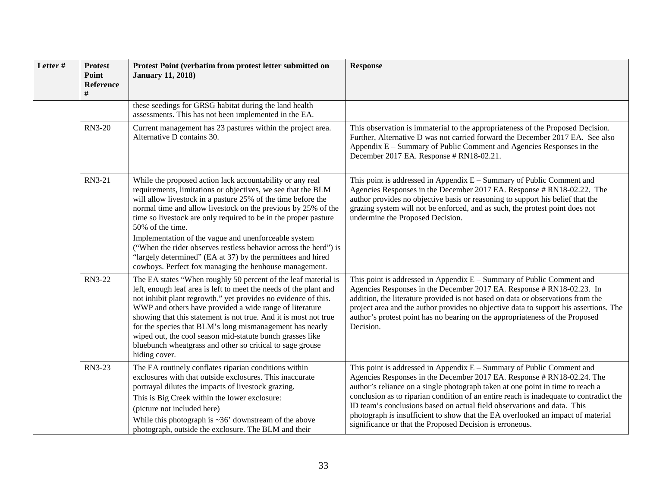| Letter # | <b>Protest</b><br>Point<br>Reference<br># | Protest Point (verbatim from protest letter submitted on<br><b>January 11, 2018)</b>                                                                                                                                                                                                                                                                                                                                                                                                                                                        | <b>Response</b>                                                                                                                                                                                                                                                                                                                                                                                                                                                                                                                                         |
|----------|-------------------------------------------|---------------------------------------------------------------------------------------------------------------------------------------------------------------------------------------------------------------------------------------------------------------------------------------------------------------------------------------------------------------------------------------------------------------------------------------------------------------------------------------------------------------------------------------------|---------------------------------------------------------------------------------------------------------------------------------------------------------------------------------------------------------------------------------------------------------------------------------------------------------------------------------------------------------------------------------------------------------------------------------------------------------------------------------------------------------------------------------------------------------|
|          |                                           | these seedings for GRSG habitat during the land health<br>assessments. This has not been implemented in the EA.                                                                                                                                                                                                                                                                                                                                                                                                                             |                                                                                                                                                                                                                                                                                                                                                                                                                                                                                                                                                         |
|          | <b>RN3-20</b>                             | Current management has 23 pastures within the project area.<br>Alternative D contains 30.                                                                                                                                                                                                                                                                                                                                                                                                                                                   | This observation is immaterial to the appropriateness of the Proposed Decision.<br>Further, Alternative D was not carried forward the December 2017 EA. See also<br>Appendix E – Summary of Public Comment and Agencies Responses in the<br>December 2017 EA. Response # RN18-02.21.                                                                                                                                                                                                                                                                    |
|          | RN3-21                                    | While the proposed action lack accountability or any real<br>requirements, limitations or objectives, we see that the BLM<br>will allow livestock in a pasture 25% of the time before the<br>normal time and allow livestock on the previous by 25% of the<br>time so livestock are only required to be in the proper pasture<br>50% of the time.                                                                                                                                                                                           | This point is addressed in Appendix $E -$ Summary of Public Comment and<br>Agencies Responses in the December 2017 EA. Response # RN18-02.22. The<br>author provides no objective basis or reasoning to support his belief that the<br>grazing system will not be enforced, and as such, the protest point does not<br>undermine the Proposed Decision.                                                                                                                                                                                                 |
|          |                                           | Implementation of the vague and unenforceable system<br>("When the rider observes restless behavior across the herd") is<br>"largely determined" (EA at 37) by the permittees and hired<br>cowboys. Perfect fox managing the henhouse management.                                                                                                                                                                                                                                                                                           |                                                                                                                                                                                                                                                                                                                                                                                                                                                                                                                                                         |
|          | RN3-22                                    | The EA states "When roughly 50 percent of the leaf material is<br>left, enough leaf area is left to meet the needs of the plant and<br>not inhibit plant regrowth." yet provides no evidence of this.<br>WWP and others have provided a wide range of literature<br>showing that this statement is not true. And it is most not true<br>for the species that BLM's long mismanagement has nearly<br>wiped out, the cool season mid-statute bunch grasses like<br>bluebunch wheatgrass and other so critical to sage grouse<br>hiding cover. | This point is addressed in Appendix $E -$ Summary of Public Comment and<br>Agencies Responses in the December 2017 EA. Response # RN18-02.23. In<br>addition, the literature provided is not based on data or observations from the<br>project area and the author provides no objective data to support his assertions. The<br>author's protest point has no bearing on the appropriateness of the Proposed<br>Decision.                                                                                                                               |
|          | RN3-23                                    | The EA routinely conflates riparian conditions within<br>exclosures with that outside exclosures. This inaccurate<br>portrayal dilutes the impacts of livestock grazing.<br>This is Big Creek within the lower exclosure:<br>(picture not included here)<br>While this photograph is $\sim$ 36' downstream of the above<br>photograph, outside the exclosure. The BLM and their                                                                                                                                                             | This point is addressed in Appendix $E -$ Summary of Public Comment and<br>Agencies Responses in the December 2017 EA. Response # RN18-02.24. The<br>author's reliance on a single photograph taken at one point in time to reach a<br>conclusion as to riparian condition of an entire reach is inadequate to contradict the<br>ID team's conclusions based on actual field observations and data. This<br>photograph is insufficient to show that the EA overlooked an impact of material<br>significance or that the Proposed Decision is erroneous. |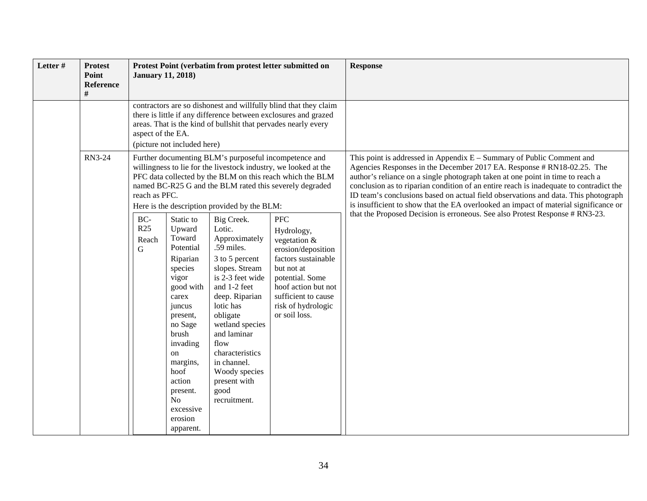| Letter # | <b>Protest</b><br>Point<br>Reference | <b>January 11, 2018)</b>                                                                                                                                                                                                                                  |                                                                                                                                                                                                                                        |                                                                                                                                                                                                                                                                                     | Protest Point (verbatim from protest letter submitted on                                                                                                                                              | <b>Response</b>                                                                                                                                                                                                                                                                                                                                                                                                                                                                                                                                                                           |
|----------|--------------------------------------|-----------------------------------------------------------------------------------------------------------------------------------------------------------------------------------------------------------------------------------------------------------|----------------------------------------------------------------------------------------------------------------------------------------------------------------------------------------------------------------------------------------|-------------------------------------------------------------------------------------------------------------------------------------------------------------------------------------------------------------------------------------------------------------------------------------|-------------------------------------------------------------------------------------------------------------------------------------------------------------------------------------------------------|-------------------------------------------------------------------------------------------------------------------------------------------------------------------------------------------------------------------------------------------------------------------------------------------------------------------------------------------------------------------------------------------------------------------------------------------------------------------------------------------------------------------------------------------------------------------------------------------|
|          |                                      | contractors are so dishonest and willfully blind that they claim<br>there is little if any difference between exclosures and grazed<br>areas. That is the kind of bullshit that pervades nearly every<br>aspect of the EA.<br>(picture not included here) |                                                                                                                                                                                                                                        |                                                                                                                                                                                                                                                                                     |                                                                                                                                                                                                       |                                                                                                                                                                                                                                                                                                                                                                                                                                                                                                                                                                                           |
|          | <b>RN3-24</b>                        | reach as PFC.<br>BC-<br>R25                                                                                                                                                                                                                               | Static to<br>Upward                                                                                                                                                                                                                    | Further documenting BLM's purposeful incompetence and<br>Here is the description provided by the BLM:<br>Big Creek.<br>Lotic.                                                                                                                                                       | willingness to lie for the livestock industry, we looked at the<br>PFC data collected by the BLM on this reach which the BLM<br>named BC-R25 G and the BLM rated this severely degraded<br><b>PFC</b> | This point is addressed in Appendix E - Summary of Public Comment and<br>Agencies Responses in the December 2017 EA. Response # RN18-02.25. The<br>author's reliance on a single photograph taken at one point in time to reach a<br>conclusion as to riparian condition of an entire reach is inadequate to contradict the<br>ID team's conclusions based on actual field observations and data. This photograph<br>is insufficient to show that the EA overlooked an impact of material significance or<br>that the Proposed Decision is erroneous. See also Protest Response # RN3-23. |
|          |                                      | Reach<br>G                                                                                                                                                                                                                                                | Toward<br>Potential<br>Riparian<br>species<br>vigor<br>good with<br>carex<br>juncus<br>present,<br>no Sage<br>brush<br>invading<br>on<br>margins,<br>hoof<br>action<br>present.<br>N <sub>o</sub><br>excessive<br>erosion<br>apparent. | Approximately<br>.59 miles.<br>3 to 5 percent<br>slopes. Stream<br>is 2-3 feet wide<br>and 1-2 feet<br>deep. Riparian<br>lotic has<br>obligate<br>wetland species<br>and laminar<br>flow<br>characteristics<br>in channel.<br>Woody species<br>present with<br>good<br>recruitment. | Hydrology,<br>vegetation $&$<br>erosion/deposition<br>factors sustainable<br>but not at<br>potential. Some<br>hoof action but not<br>sufficient to cause<br>risk of hydrologic<br>or soil loss.       |                                                                                                                                                                                                                                                                                                                                                                                                                                                                                                                                                                                           |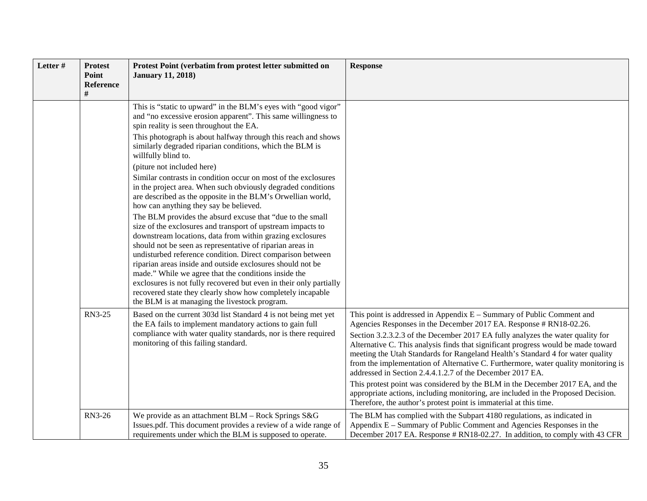| Letter# | <b>Protest</b><br>Point<br><b>Reference</b> | Protest Point (verbatim from protest letter submitted on<br><b>January 11, 2018)</b>                                                                                                                                                                                                                                                                                                                                                                                                                                                                                                                                                                                                                                                                                                                                                                                                                                                                                                                                                                                                                                                                                                                                                   | <b>Response</b>                                                                                                                                                                                                                                                                                                                                                                                                                                                                                                                                                                                                                                                                                                                                                                                      |
|---------|---------------------------------------------|----------------------------------------------------------------------------------------------------------------------------------------------------------------------------------------------------------------------------------------------------------------------------------------------------------------------------------------------------------------------------------------------------------------------------------------------------------------------------------------------------------------------------------------------------------------------------------------------------------------------------------------------------------------------------------------------------------------------------------------------------------------------------------------------------------------------------------------------------------------------------------------------------------------------------------------------------------------------------------------------------------------------------------------------------------------------------------------------------------------------------------------------------------------------------------------------------------------------------------------|------------------------------------------------------------------------------------------------------------------------------------------------------------------------------------------------------------------------------------------------------------------------------------------------------------------------------------------------------------------------------------------------------------------------------------------------------------------------------------------------------------------------------------------------------------------------------------------------------------------------------------------------------------------------------------------------------------------------------------------------------------------------------------------------------|
|         |                                             | This is "static to upward" in the BLM's eyes with "good vigor"<br>and "no excessive erosion apparent". This same willingness to<br>spin reality is seen throughout the EA.<br>This photograph is about halfway through this reach and shows<br>similarly degraded riparian conditions, which the BLM is<br>willfully blind to.<br>(piture not included here)<br>Similar contrasts in condition occur on most of the exclosures<br>in the project area. When such obviously degraded conditions<br>are described as the opposite in the BLM's Orwellian world,<br>how can anything they say be believed.<br>The BLM provides the absurd excuse that "due to the small<br>size of the exclosures and transport of upstream impacts to<br>downstream locations, data from within grazing exclosures<br>should not be seen as representative of riparian areas in<br>undisturbed reference condition. Direct comparison between<br>riparian areas inside and outside exclosures should not be<br>made." While we agree that the conditions inside the<br>exclosures is not fully recovered but even in their only partially<br>recovered state they clearly show how completely incapable<br>the BLM is at managing the livestock program. |                                                                                                                                                                                                                                                                                                                                                                                                                                                                                                                                                                                                                                                                                                                                                                                                      |
|         | RN3-25                                      | Based on the current 303d list Standard 4 is not being met yet<br>the EA fails to implement mandatory actions to gain full<br>compliance with water quality standards, nor is there required<br>monitoring of this failing standard.                                                                                                                                                                                                                                                                                                                                                                                                                                                                                                                                                                                                                                                                                                                                                                                                                                                                                                                                                                                                   | This point is addressed in Appendix $E -$ Summary of Public Comment and<br>Agencies Responses in the December 2017 EA. Response # RN18-02.26.<br>Section 3.2.3.2.3 of the December 2017 EA fully analyzes the water quality for<br>Alternative C. This analysis finds that significant progress would be made toward<br>meeting the Utah Standards for Rangeland Health's Standard 4 for water quality<br>from the implementation of Alternative C. Furthermore, water quality monitoring is<br>addressed in Section 2.4.4.1.2.7 of the December 2017 EA.<br>This protest point was considered by the BLM in the December 2017 EA, and the<br>appropriate actions, including monitoring, are included in the Proposed Decision.<br>Therefore, the author's protest point is immaterial at this time. |
|         | RN3-26                                      | We provide as an attachment BLM - Rock Springs S&G<br>Issues.pdf. This document provides a review of a wide range of<br>requirements under which the BLM is supposed to operate.                                                                                                                                                                                                                                                                                                                                                                                                                                                                                                                                                                                                                                                                                                                                                                                                                                                                                                                                                                                                                                                       | The BLM has complied with the Subpart 4180 regulations, as indicated in<br>Appendix E - Summary of Public Comment and Agencies Responses in the<br>December 2017 EA. Response # RN18-02.27. In addition, to comply with 43 CFR                                                                                                                                                                                                                                                                                                                                                                                                                                                                                                                                                                       |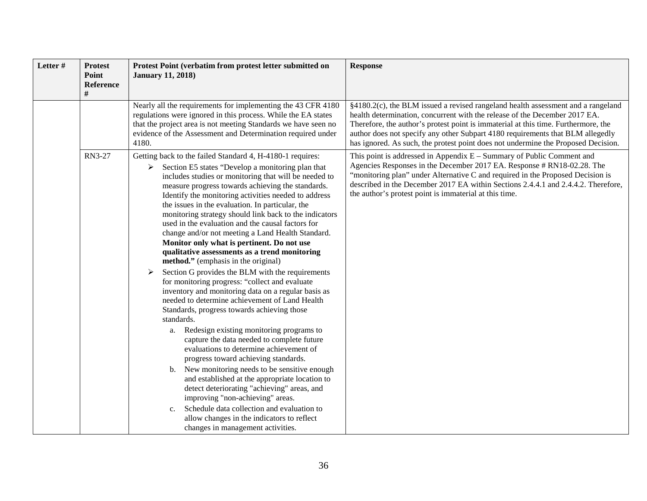| Letter# | <b>Protest</b><br>Point<br><b>Reference</b> | Protest Point (verbatim from protest letter submitted on<br><b>January 11, 2018)</b>                                                                                                                                                                                                                                                                                                                                                                                                                                                                                                                                                                                                                                                                                                                                                                                                                                                                                                                                                                                                                                                                                                                                                                                                                                                                                                                                                                      | <b>Response</b>                                                                                                                                                                                                                                                                                                                                                                                                             |
|---------|---------------------------------------------|-----------------------------------------------------------------------------------------------------------------------------------------------------------------------------------------------------------------------------------------------------------------------------------------------------------------------------------------------------------------------------------------------------------------------------------------------------------------------------------------------------------------------------------------------------------------------------------------------------------------------------------------------------------------------------------------------------------------------------------------------------------------------------------------------------------------------------------------------------------------------------------------------------------------------------------------------------------------------------------------------------------------------------------------------------------------------------------------------------------------------------------------------------------------------------------------------------------------------------------------------------------------------------------------------------------------------------------------------------------------------------------------------------------------------------------------------------------|-----------------------------------------------------------------------------------------------------------------------------------------------------------------------------------------------------------------------------------------------------------------------------------------------------------------------------------------------------------------------------------------------------------------------------|
|         |                                             | Nearly all the requirements for implementing the 43 CFR 4180<br>regulations were ignored in this process. While the EA states<br>that the project area is not meeting Standards we have seen no<br>evidence of the Assessment and Determination required under<br>4180.                                                                                                                                                                                                                                                                                                                                                                                                                                                                                                                                                                                                                                                                                                                                                                                                                                                                                                                                                                                                                                                                                                                                                                                   | §4180.2(c), the BLM issued a revised rangeland health assessment and a rangeland<br>health determination, concurrent with the release of the December 2017 EA.<br>Therefore, the author's protest point is immaterial at this time. Furthermore, the<br>author does not specify any other Subpart 4180 requirements that BLM allegedly<br>has ignored. As such, the protest point does not undermine the Proposed Decision. |
|         | RN3-27                                      | Getting back to the failed Standard 4, H-4180-1 requires:<br>Section E5 states "Develop a monitoring plan that<br>➤<br>includes studies or monitoring that will be needed to<br>measure progress towards achieving the standards.<br>Identify the monitoring activities needed to address<br>the issues in the evaluation. In particular, the<br>monitoring strategy should link back to the indicators<br>used in the evaluation and the causal factors for<br>change and/or not meeting a Land Health Standard.<br>Monitor only what is pertinent. Do not use<br>qualitative assessments as a trend monitoring<br>method." (emphasis in the original)<br>Section G provides the BLM with the requirements<br>➤<br>for monitoring progress: "collect and evaluate<br>inventory and monitoring data on a regular basis as<br>needed to determine achievement of Land Health<br>Standards, progress towards achieving those<br>standards.<br>Redesign existing monitoring programs to<br>a.<br>capture the data needed to complete future<br>evaluations to determine achievement of<br>progress toward achieving standards.<br>b. New monitoring needs to be sensitive enough<br>and established at the appropriate location to<br>detect deteriorating "achieving" areas, and<br>improving "non-achieving" areas.<br>Schedule data collection and evaluation to<br>c.<br>allow changes in the indicators to reflect<br>changes in management activities. | This point is addressed in Appendix $E -$ Summary of Public Comment and<br>Agencies Responses in the December 2017 EA. Response # RN18-02.28. The<br>"monitoring plan" under Alternative C and required in the Proposed Decision is<br>described in the December 2017 EA within Sections 2.4.4.1 and 2.4.4.2. Therefore,<br>the author's protest point is immaterial at this time.                                          |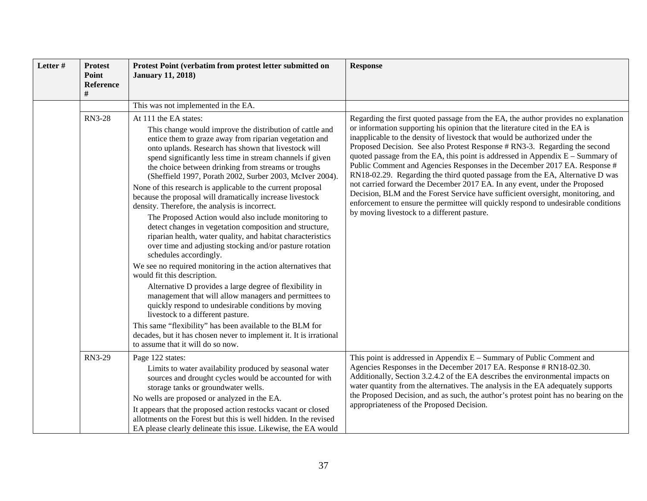| Letter# | <b>Protest</b><br>Point<br><b>Reference</b> | Protest Point (verbatim from protest letter submitted on<br><b>January 11, 2018)</b>                                                                                                                                                                                                                                                                                                                                                                                                                                                                                                                                                                                                                                                                                                                                                                                                                       | <b>Response</b>                                                                                                                                                                                                                                                                                                                                                                                                                                                                                                                                                                                                                                                                                                                                                                                                                                                                         |  |
|---------|---------------------------------------------|------------------------------------------------------------------------------------------------------------------------------------------------------------------------------------------------------------------------------------------------------------------------------------------------------------------------------------------------------------------------------------------------------------------------------------------------------------------------------------------------------------------------------------------------------------------------------------------------------------------------------------------------------------------------------------------------------------------------------------------------------------------------------------------------------------------------------------------------------------------------------------------------------------|-----------------------------------------------------------------------------------------------------------------------------------------------------------------------------------------------------------------------------------------------------------------------------------------------------------------------------------------------------------------------------------------------------------------------------------------------------------------------------------------------------------------------------------------------------------------------------------------------------------------------------------------------------------------------------------------------------------------------------------------------------------------------------------------------------------------------------------------------------------------------------------------|--|
|         |                                             | This was not implemented in the EA.                                                                                                                                                                                                                                                                                                                                                                                                                                                                                                                                                                                                                                                                                                                                                                                                                                                                        |                                                                                                                                                                                                                                                                                                                                                                                                                                                                                                                                                                                                                                                                                                                                                                                                                                                                                         |  |
|         | <b>RN3-28</b>                               | At 111 the EA states:<br>This change would improve the distribution of cattle and<br>entice them to graze away from riparian vegetation and<br>onto uplands. Research has shown that livestock will<br>spend significantly less time in stream channels if given<br>the choice between drinking from streams or troughs<br>(Sheffield 1997, Porath 2002, Surber 2003, McIver 2004).<br>None of this research is applicable to the current proposal<br>because the proposal will dramatically increase livestock<br>density. Therefore, the analysis is incorrect.<br>The Proposed Action would also include monitoring to<br>detect changes in vegetation composition and structure,<br>riparian health, water quality, and habitat characteristics<br>over time and adjusting stocking and/or pasture rotation<br>schedules accordingly.<br>We see no required monitoring in the action alternatives that | Regarding the first quoted passage from the EA, the author provides no explanation<br>or information supporting his opinion that the literature cited in the EA is<br>inapplicable to the density of livestock that would be authorized under the<br>Proposed Decision. See also Protest Response # RN3-3. Regarding the second<br>quoted passage from the EA, this point is addressed in Appendix $E -$ Summary of<br>Public Comment and Agencies Responses in the December 2017 EA. Response #<br>RN18-02.29. Regarding the third quoted passage from the EA, Alternative D was<br>not carried forward the December 2017 EA. In any event, under the Proposed<br>Decision, BLM and the Forest Service have sufficient oversight, monitoring, and<br>enforcement to ensure the permittee will quickly respond to undesirable conditions<br>by moving livestock to a different pasture. |  |
|         |                                             | would fit this description.<br>Alternative D provides a large degree of flexibility in<br>management that will allow managers and permittees to<br>quickly respond to undesirable conditions by moving<br>livestock to a different pasture.<br>This same "flexibility" has been available to the BLM for<br>decades, but it has chosen never to implement it. It is irrational<br>to assume that it will do so now.                                                                                                                                                                                                                                                                                                                                                                                                                                                                                        |                                                                                                                                                                                                                                                                                                                                                                                                                                                                                                                                                                                                                                                                                                                                                                                                                                                                                         |  |
|         | RN3-29                                      | Page 122 states:<br>Limits to water availability produced by seasonal water<br>sources and drought cycles would be accounted for with<br>storage tanks or groundwater wells.<br>No wells are proposed or analyzed in the EA.<br>It appears that the proposed action restocks vacant or closed<br>allotments on the Forest but this is well hidden. In the revised<br>EA please clearly delineate this issue. Likewise, the EA would                                                                                                                                                                                                                                                                                                                                                                                                                                                                        | This point is addressed in Appendix $E -$ Summary of Public Comment and<br>Agencies Responses in the December 2017 EA. Response # RN18-02.30.<br>Additionally, Section 3.2.4.2 of the EA describes the environmental impacts on<br>water quantity from the alternatives. The analysis in the EA adequately supports<br>the Proposed Decision, and as such, the author's protest point has no bearing on the<br>appropriateness of the Proposed Decision.                                                                                                                                                                                                                                                                                                                                                                                                                                |  |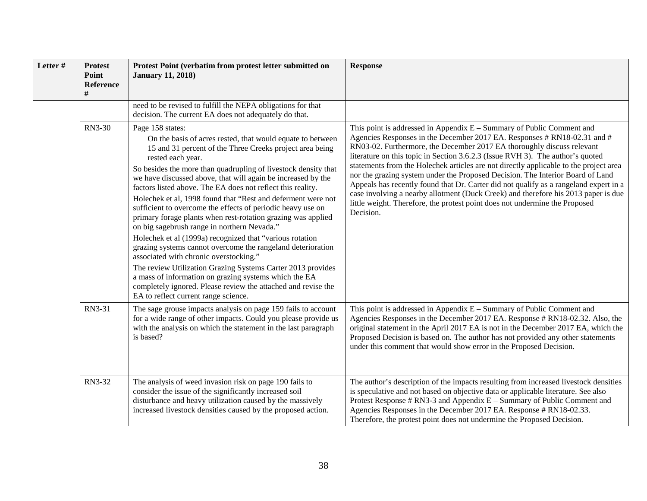| Letter # | <b>Protest</b><br>Point<br>Reference<br># | Protest Point (verbatim from protest letter submitted on<br><b>January 11, 2018)</b>                                                                                                                                                                                                                                                                                                                                                                                                                                                                                                                                                                                                                                                                                                                                                                                                                                                                                                                                 | <b>Response</b>                                                                                                                                                                                                                                                                                                                                                                                                                                                                                                                                                                                                                                                                                                                                                       |
|----------|-------------------------------------------|----------------------------------------------------------------------------------------------------------------------------------------------------------------------------------------------------------------------------------------------------------------------------------------------------------------------------------------------------------------------------------------------------------------------------------------------------------------------------------------------------------------------------------------------------------------------------------------------------------------------------------------------------------------------------------------------------------------------------------------------------------------------------------------------------------------------------------------------------------------------------------------------------------------------------------------------------------------------------------------------------------------------|-----------------------------------------------------------------------------------------------------------------------------------------------------------------------------------------------------------------------------------------------------------------------------------------------------------------------------------------------------------------------------------------------------------------------------------------------------------------------------------------------------------------------------------------------------------------------------------------------------------------------------------------------------------------------------------------------------------------------------------------------------------------------|
|          |                                           | need to be revised to fulfill the NEPA obligations for that<br>decision. The current EA does not adequately do that.                                                                                                                                                                                                                                                                                                                                                                                                                                                                                                                                                                                                                                                                                                                                                                                                                                                                                                 |                                                                                                                                                                                                                                                                                                                                                                                                                                                                                                                                                                                                                                                                                                                                                                       |
|          | <b>RN3-30</b>                             | Page 158 states:<br>On the basis of acres rested, that would equate to between<br>15 and 31 percent of the Three Creeks project area being<br>rested each year.<br>So besides the more than quadrupling of livestock density that<br>we have discussed above, that will again be increased by the<br>factors listed above. The EA does not reflect this reality.<br>Holechek et al, 1998 found that "Rest and deferment were not<br>sufficient to overcome the effects of periodic heavy use on<br>primary forage plants when rest-rotation grazing was applied<br>on big sagebrush range in northern Nevada."<br>Holechek et al (1999a) recognized that "various rotation<br>grazing systems cannot overcome the rangeland deterioration<br>associated with chronic overstocking."<br>The review Utilization Grazing Systems Carter 2013 provides<br>a mass of information on grazing systems which the EA<br>completely ignored. Please review the attached and revise the<br>EA to reflect current range science. | This point is addressed in Appendix $E -$ Summary of Public Comment and<br>Agencies Responses in the December 2017 EA. Responses # RN18-02.31 and #<br>RN03-02. Furthermore, the December 2017 EA thoroughly discuss relevant<br>literature on this topic in Section 3.6.2.3 (Issue RVH 3). The author's quoted<br>statements from the Holechek articles are not directly applicable to the project area<br>nor the grazing system under the Proposed Decision. The Interior Board of Land<br>Appeals has recently found that Dr. Carter did not qualify as a rangeland expert in a<br>case involving a nearby allotment (Duck Creek) and therefore his 2013 paper is due<br>little weight. Therefore, the protest point does not undermine the Proposed<br>Decision. |
|          | RN3-31                                    | The sage grouse impacts analysis on page 159 fails to account<br>for a wide range of other impacts. Could you please provide us<br>with the analysis on which the statement in the last paragraph<br>is based?                                                                                                                                                                                                                                                                                                                                                                                                                                                                                                                                                                                                                                                                                                                                                                                                       | This point is addressed in Appendix $E -$ Summary of Public Comment and<br>Agencies Responses in the December 2017 EA. Response # RN18-02.32. Also, the<br>original statement in the April 2017 EA is not in the December 2017 EA, which the<br>Proposed Decision is based on. The author has not provided any other statements<br>under this comment that would show error in the Proposed Decision.                                                                                                                                                                                                                                                                                                                                                                 |
|          | RN3-32                                    | The analysis of weed invasion risk on page 190 fails to<br>consider the issue of the significantly increased soil<br>disturbance and heavy utilization caused by the massively<br>increased livestock densities caused by the proposed action.                                                                                                                                                                                                                                                                                                                                                                                                                                                                                                                                                                                                                                                                                                                                                                       | The author's description of the impacts resulting from increased livestock densities<br>is speculative and not based on objective data or applicable literature. See also<br>Protest Response $# RN3-3$ and Appendix $E - Summary$ of Public Comment and<br>Agencies Responses in the December 2017 EA. Response # RN18-02.33.<br>Therefore, the protest point does not undermine the Proposed Decision.                                                                                                                                                                                                                                                                                                                                                              |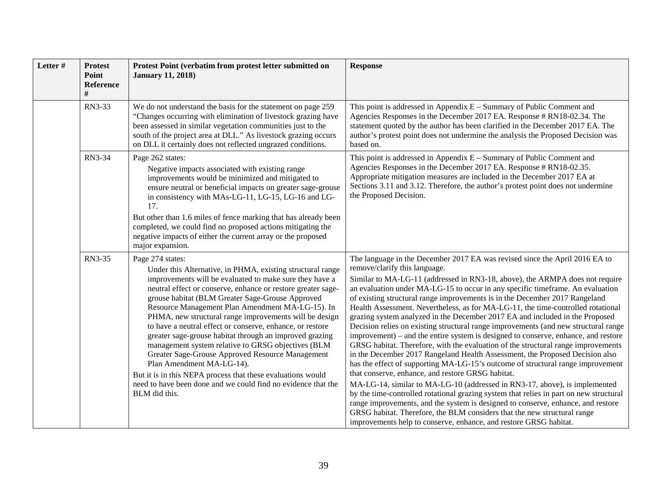| Letter # | <b>Protest</b><br>Point<br><b>Reference</b> | Protest Point (verbatim from protest letter submitted on<br><b>January 11, 2018)</b>                                                                                                                                                                                                                                                                                                                                                                                                                                                                                                                                                                                                                                                                                                        | <b>Response</b>                                                                                                                                                                                                                                                                                                                                                                                                                                                                                                                                                                                                                                                                                                                                                                                                                                                                                                                                                                                                                                                                                                                                                                                                                                                                                                                                                                                                                          |
|----------|---------------------------------------------|---------------------------------------------------------------------------------------------------------------------------------------------------------------------------------------------------------------------------------------------------------------------------------------------------------------------------------------------------------------------------------------------------------------------------------------------------------------------------------------------------------------------------------------------------------------------------------------------------------------------------------------------------------------------------------------------------------------------------------------------------------------------------------------------|------------------------------------------------------------------------------------------------------------------------------------------------------------------------------------------------------------------------------------------------------------------------------------------------------------------------------------------------------------------------------------------------------------------------------------------------------------------------------------------------------------------------------------------------------------------------------------------------------------------------------------------------------------------------------------------------------------------------------------------------------------------------------------------------------------------------------------------------------------------------------------------------------------------------------------------------------------------------------------------------------------------------------------------------------------------------------------------------------------------------------------------------------------------------------------------------------------------------------------------------------------------------------------------------------------------------------------------------------------------------------------------------------------------------------------------|
|          | RN3-33                                      | We do not understand the basis for the statement on page 259<br>"Changes occurring with elimination of livestock grazing have<br>been assessed in similar vegetation communities just to the<br>south of the project area at DLL." As livestock grazing occurs<br>on DLL it certainly does not reflected ungrazed conditions.                                                                                                                                                                                                                                                                                                                                                                                                                                                               | This point is addressed in Appendix $E -$ Summary of Public Comment and<br>Agencies Responses in the December 2017 EA. Response # RN18-02.34. The<br>statement quoted by the author has been clarified in the December 2017 EA. The<br>author's protest point does not undermine the analysis the Proposed Decision was<br>based on.                                                                                                                                                                                                                                                                                                                                                                                                                                                                                                                                                                                                                                                                                                                                                                                                                                                                                                                                                                                                                                                                                                     |
|          | RN3-34                                      | Page 262 states:<br>Negative impacts associated with existing range<br>improvements would be minimized and mitigated to<br>ensure neutral or beneficial impacts on greater sage-grouse<br>in consistency with MAs-LG-11, LG-15, LG-16 and LG-<br>17.<br>But other than 1.6 miles of fence marking that has already been<br>completed, we could find no proposed actions mitigating the<br>negative impacts of either the current array or the proposed<br>major expansion.                                                                                                                                                                                                                                                                                                                  | This point is addressed in Appendix $E -$ Summary of Public Comment and<br>Agencies Responses in the December 2017 EA. Response # RN18-02.35.<br>Appropriate mitigation measures are included in the December 2017 EA at<br>Sections 3.11 and 3.12. Therefore, the author's protest point does not undermine<br>the Proposed Decision.                                                                                                                                                                                                                                                                                                                                                                                                                                                                                                                                                                                                                                                                                                                                                                                                                                                                                                                                                                                                                                                                                                   |
|          | RN3-35                                      | Page 274 states:<br>Under this Alternative, in PHMA, existing structural range<br>improvements will be evaluated to make sure they have a<br>neutral effect or conserve, enhance or restore greater sage-<br>grouse habitat (BLM Greater Sage-Grouse Approved<br>Resource Management Plan Amendment MA-LG-15). In<br>PHMA, new structural range improvements will be design<br>to have a neutral effect or conserve, enhance, or restore<br>greater sage-grouse habitat through an improved grazing<br>management system relative to GRSG objectives (BLM<br>Greater Sage-Grouse Approved Resource Management<br>Plan Amendment MA-LG-14).<br>But it is in this NEPA process that these evaluations would<br>need to have been done and we could find no evidence that the<br>BLM did this. | The language in the December 2017 EA was revised since the April 2016 EA to<br>remove/clarify this language.<br>Similar to MA-LG-11 (addressed in RN3-18, above), the ARMPA does not require<br>an evaluation under MA-LG-15 to occur in any specific timeframe. An evaluation<br>of existing structural range improvements is in the December 2017 Rangeland<br>Health Assessment. Nevertheless, as for MA-LG-11, the time-controlled rotational<br>grazing system analyzed in the December 2017 EA and included in the Proposed<br>Decision relies on existing structural range improvements (and new structural range<br>improvement) – and the entire system is designed to conserve, enhance, and restore<br>GRSG habitat. Therefore, with the evaluation of the structural range improvements<br>in the December 2017 Rangeland Health Assessment, the Proposed Decision also<br>has the effect of supporting MA-LG-15's outcome of structural range improvement<br>that conserve, enhance, and restore GRSG habitat.<br>MA-LG-14, similar to MA-LG-10 (addressed in RN3-17, above), is implemented<br>by the time-controlled rotational grazing system that relies in part on new structural<br>range improvements, and the system is designed to conserve, enhance, and restore<br>GRSG habitat. Therefore, the BLM considers that the new structural range<br>improvements help to conserve, enhance, and restore GRSG habitat. |